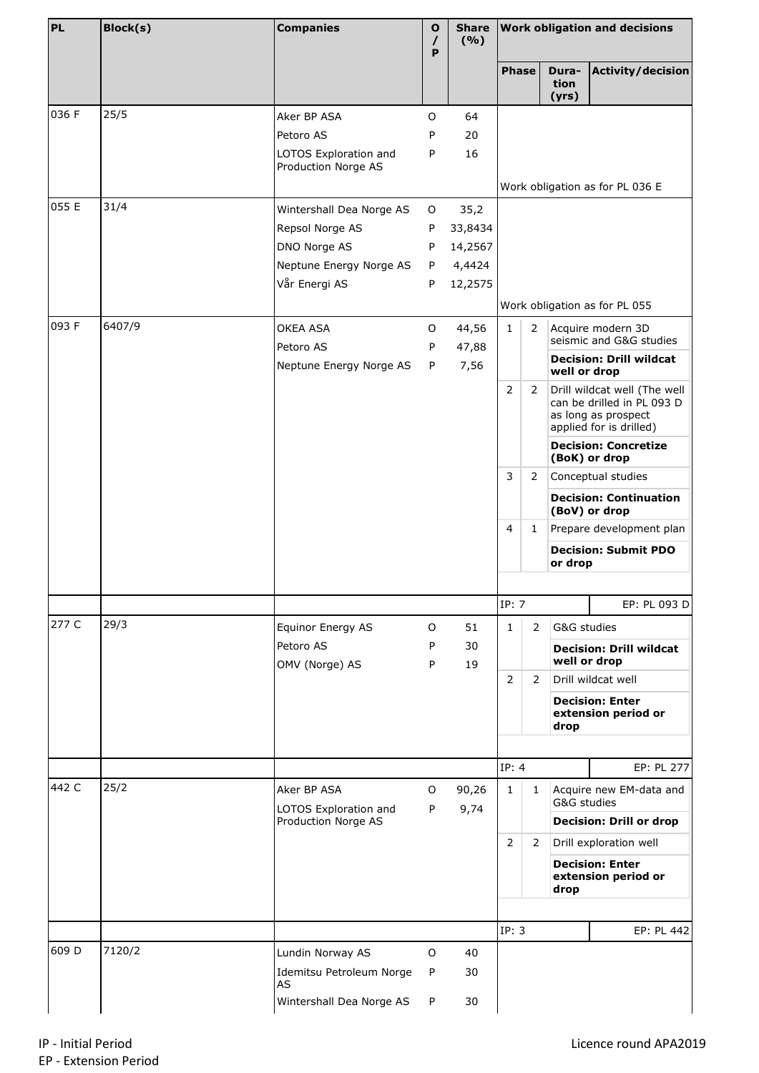| <b>PL</b> | <b>Block(s)</b> | <b>Companies</b>                             | $\mathbf{o}$<br>$\prime$<br>P | (9/6)         | Share   Work obligation and decisions |                |                        |                                                            |
|-----------|-----------------|----------------------------------------------|-------------------------------|---------------|---------------------------------------|----------------|------------------------|------------------------------------------------------------|
|           |                 |                                              |                               |               | <b>Phase</b>                          |                | Dura-<br>tion<br>(yrs) | <b>Activity/decision</b>                                   |
| 036 F     | 25/5            | Aker BP ASA                                  | O                             | 64            |                                       |                |                        |                                                            |
|           |                 | Petoro AS                                    | P                             | 20            |                                       |                |                        |                                                            |
|           |                 | LOTOS Exploration and<br>Production Norge AS | P                             | 16            |                                       |                |                        |                                                            |
|           |                 |                                              |                               |               |                                       |                |                        | Work obligation as for PL 036 E                            |
| 055 E     | 31/4            | Wintershall Dea Norge AS                     | O                             | 35,2          |                                       |                |                        |                                                            |
|           |                 | Repsol Norge AS                              | P                             | 33,8434       |                                       |                |                        |                                                            |
|           |                 | DNO Norge AS                                 | P                             | 14,2567       |                                       |                |                        |                                                            |
|           |                 | Neptune Energy Norge AS                      | P                             | 4,4424        |                                       |                |                        |                                                            |
|           |                 | Vår Energi AS                                | P                             | 12,2575       |                                       |                |                        |                                                            |
|           |                 |                                              |                               |               |                                       |                |                        | Work obligation as for PL 055                              |
| 093 F     | 6407/9          | OKEA ASA                                     | O                             | 44,56         | $\mathbf{1}$                          | 2              |                        | Acquire modern 3D<br>seismic and G&G studies               |
|           |                 | Petoro AS                                    | P                             | 47,88         |                                       |                |                        | <b>Decision: Drill wildcat</b>                             |
|           |                 | Neptune Energy Norge AS                      | P                             | 7,56          |                                       |                | well or drop           |                                                            |
|           |                 |                                              |                               |               | $\overline{2}$                        | 2              |                        | Drill wildcat well (The well<br>can be drilled in PL 093 D |
|           |                 |                                              |                               |               |                                       |                |                        | as long as prospect<br>applied for is drilled)             |
|           |                 |                                              |                               |               |                                       |                |                        | <b>Decision: Concretize</b><br>(BoK) or drop               |
|           |                 |                                              |                               |               | 3                                     | $\overline{2}$ |                        | Conceptual studies                                         |
|           |                 |                                              |                               |               |                                       |                |                        | <b>Decision: Continuation</b><br>(BoV) or drop             |
|           |                 |                                              |                               |               | $\overline{4}$                        | 1              |                        | Prepare development plan                                   |
|           |                 |                                              |                               |               |                                       |                | or drop                | <b>Decision: Submit PDO</b>                                |
|           |                 |                                              |                               |               |                                       |                |                        |                                                            |
|           |                 |                                              |                               |               | IP: 7                                 |                |                        | EP: PL 093 D                                               |
| 277 C     | 29/3            | Equinor Energy AS                            | O                             | 51            | $\mathbf{1}$                          | $\overline{2}$ | G&G studies            |                                                            |
|           |                 | Petoro AS<br>OMV (Norge) AS                  | P<br>P                        | 30<br>19      |                                       |                |                        | <b>Decision: Drill wildcat</b><br>well or drop             |
|           |                 |                                              |                               |               | $\overline{2}$                        | 2              |                        | Drill wildcat well                                         |
|           |                 |                                              |                               |               |                                       |                | drop                   | <b>Decision: Enter</b><br>extension period or              |
|           |                 |                                              |                               |               |                                       |                |                        |                                                            |
| 442 C     | 25/2            |                                              |                               |               | IP: 4                                 |                |                        | EP: PL 277                                                 |
|           |                 | Aker BP ASA<br>LOTOS Exploration and         | O<br>P                        | 90,26<br>9,74 | $\mathbf{1}$                          | $\mathbf{1}$   | G&G studies            | Acquire new EM-data and                                    |
|           |                 | Production Norge AS                          |                               |               |                                       |                |                        | <b>Decision: Drill or drop</b>                             |
|           |                 |                                              |                               |               | $\overline{2}$                        | 2              |                        | Drill exploration well                                     |
|           |                 |                                              |                               |               |                                       |                | drop                   | <b>Decision: Enter</b><br>extension period or              |
|           |                 |                                              |                               |               | IP: 3                                 |                |                        | EP: PL 442                                                 |
| 609 D     | 7120/2          |                                              |                               |               |                                       |                |                        |                                                            |
|           |                 | Lundin Norway AS                             | O                             | 40            |                                       |                |                        |                                                            |
|           |                 | Idemitsu Petroleum Norge<br>AS               | P                             | 30            |                                       |                |                        |                                                            |
|           |                 | Wintershall Dea Norge AS                     | P                             | 30            |                                       |                |                        |                                                            |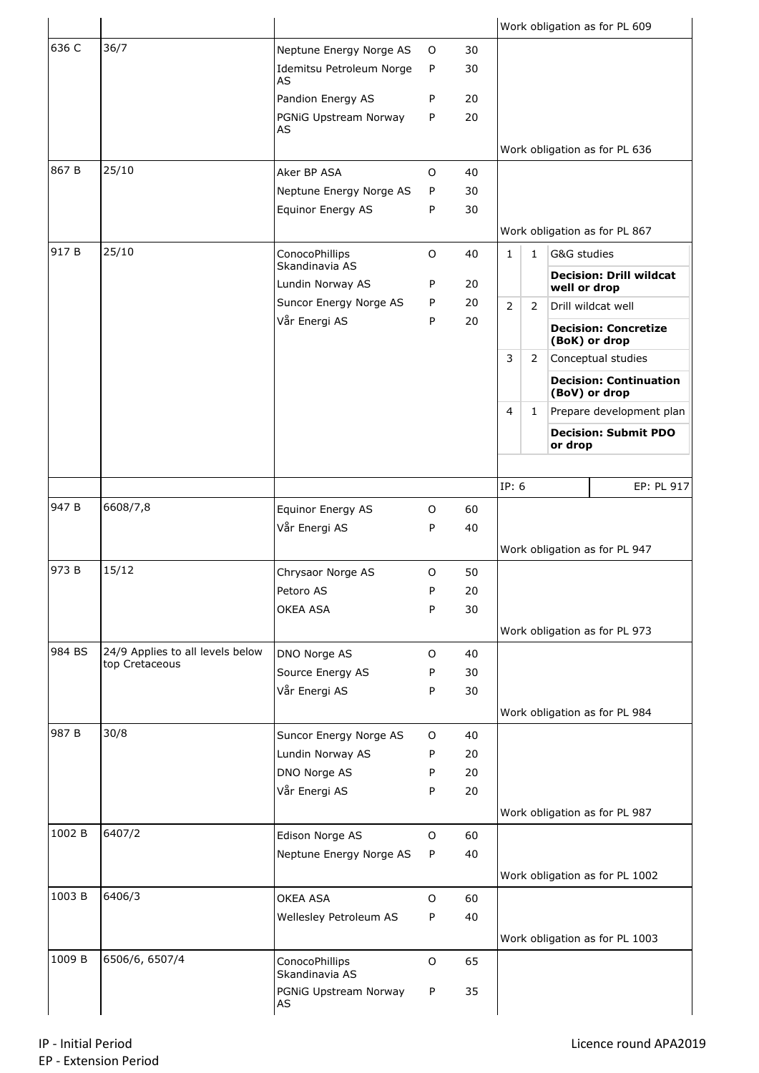|        |                                                    |                                         |         |          |                |                |             | Work obligation as for PL 609                  |
|--------|----------------------------------------------------|-----------------------------------------|---------|----------|----------------|----------------|-------------|------------------------------------------------|
| 636 C  | 36/7                                               | Neptune Energy Norge AS                 | $\circ$ | 30       |                |                |             |                                                |
|        |                                                    | Idemitsu Petroleum Norge<br><b>AS</b>   | P       | 30       |                |                |             |                                                |
|        |                                                    | Pandion Energy AS                       | P       | 20       |                |                |             |                                                |
|        |                                                    | PGNiG Upstream Norway<br>AS             | P       | 20       |                |                |             |                                                |
|        |                                                    |                                         |         |          |                |                |             | Work obligation as for PL 636                  |
| 867B   | 25/10                                              | Aker BP ASA                             | $\circ$ | 40       |                |                |             |                                                |
|        |                                                    | Neptune Energy Norge AS                 | P       | 30       |                |                |             |                                                |
|        |                                                    | Equinor Energy AS                       | P       | 30       |                |                |             |                                                |
| 917 B  | 25/10                                              | ConocoPhillips                          | O       | 40       | $\mathbf{1}$   | $\mathbf{1}$   | G&G studies | Work obligation as for PL 867                  |
|        |                                                    | Skandinavia AS                          |         |          |                |                |             |                                                |
|        |                                                    | Lundin Norway AS                        | P       | 20       |                |                |             | <b>Decision: Drill wildcat</b><br>well or drop |
|        |                                                    | Suncor Energy Norge AS<br>Vår Energi AS | P       | 20<br>20 | $\overline{2}$ | 2              |             | Drill wildcat well                             |
|        |                                                    |                                         | P       |          |                |                |             | <b>Decision: Concretize</b><br>(BoK) or drop   |
|        |                                                    |                                         |         |          | 3              | $\overline{2}$ |             | Conceptual studies                             |
|        |                                                    |                                         |         |          |                |                |             | <b>Decision: Continuation</b><br>(BoV) or drop |
|        |                                                    |                                         |         |          | 4              | $\mathbf{1}$   |             | Prepare development plan                       |
|        |                                                    |                                         |         |          |                |                | or drop     | <b>Decision: Submit PDO</b>                    |
|        |                                                    |                                         |         |          |                |                |             |                                                |
|        |                                                    |                                         |         |          | IP: 6          |                |             | EP: PL 917                                     |
| 947 B  | 6608/7,8                                           | Equinor Energy AS                       | O       | 60       |                |                |             |                                                |
|        |                                                    | Vår Energi AS                           | P       | 40       |                |                |             | Work obligation as for PL 947                  |
| 973 B  | 15/12                                              | Chrysaor Norge AS                       | O       | 50       |                |                |             |                                                |
|        |                                                    | Petoro AS                               | P       | 20       |                |                |             |                                                |
|        |                                                    | OKEA ASA                                | P       | 30       |                |                |             |                                                |
|        |                                                    |                                         |         |          |                |                |             | Work obligation as for PL 973                  |
| 984 BS | 24/9 Applies to all levels below<br>top Cretaceous | DNO Norge AS                            | 0       | 40       |                |                |             |                                                |
|        |                                                    | Source Energy AS                        | P       | 30       |                |                |             |                                                |
|        |                                                    | Vår Energi AS                           | P       | 30       |                |                |             |                                                |
|        |                                                    |                                         |         |          |                |                |             | Work obligation as for PL 984                  |
| 987 B  | 30/8                                               | Suncor Energy Norge AS                  | O       | 40       |                |                |             |                                                |
|        |                                                    | Lundin Norway AS                        | P       | 20       |                |                |             |                                                |
|        |                                                    | DNO Norge AS                            | P       | 20       |                |                |             |                                                |
|        |                                                    | Vår Energi AS                           | P       | 20       |                |                |             |                                                |
| 1002 B | 6407/2                                             | Edison Norge AS                         | 0       | 60       |                |                |             | Work obligation as for PL 987                  |
|        |                                                    | Neptune Energy Norge AS                 | P       | 40       |                |                |             |                                                |
|        |                                                    |                                         |         |          |                |                |             | Work obligation as for PL 1002                 |
| 1003 B | 6406/3                                             | <b>OKEA ASA</b>                         | $\circ$ | 60       |                |                |             |                                                |
|        |                                                    | Wellesley Petroleum AS                  | P       | 40       |                |                |             |                                                |
|        |                                                    |                                         |         |          |                |                |             | Work obligation as for PL 1003                 |
| 1009 B | 6506/6, 6507/4                                     | ConocoPhillips<br>Skandinavia AS        | $\circ$ | 65       |                |                |             |                                                |
|        |                                                    | PGNiG Upstream Norway                   | P       | 35       |                |                |             |                                                |
|        |                                                    | AS                                      |         |          |                |                |             |                                                |
|        |                                                    |                                         |         |          |                |                |             |                                                |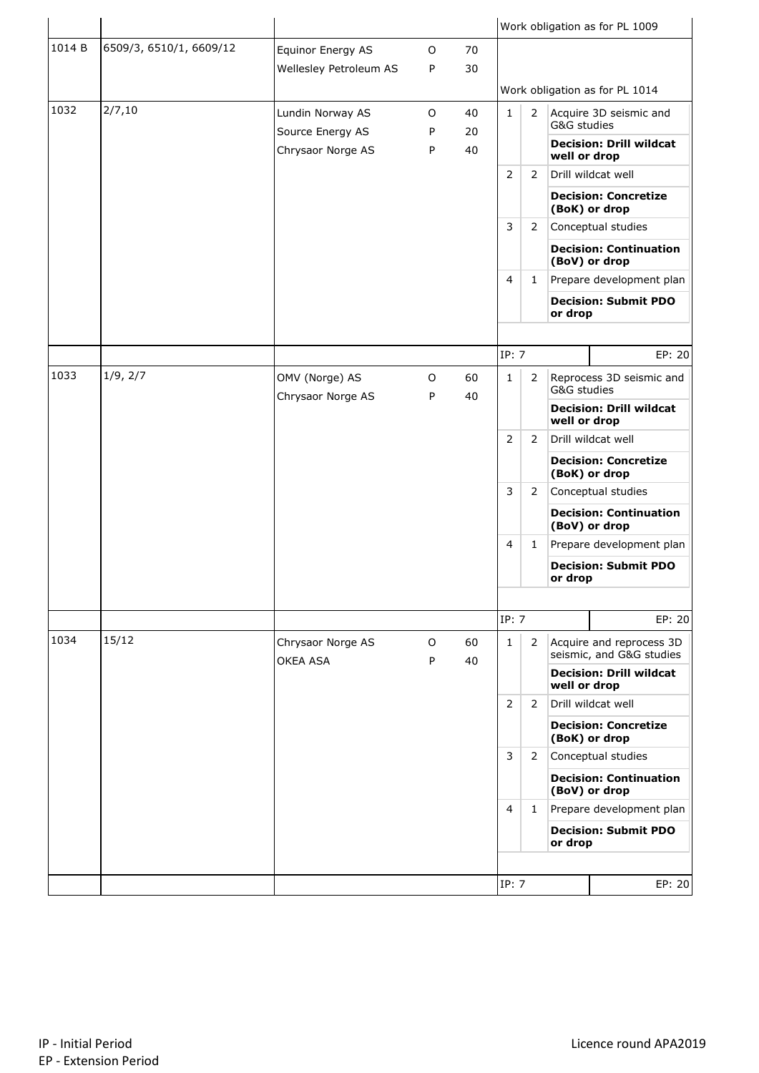|        |                         |                                      |        |          |                |                |              | Work obligation as for PL 1009                       |
|--------|-------------------------|--------------------------------------|--------|----------|----------------|----------------|--------------|------------------------------------------------------|
| 1014 B | 6509/3, 6510/1, 6609/12 | Equinor Energy AS                    | O      | 70       |                |                |              |                                                      |
|        |                         | Wellesley Petroleum AS               | P      | 30       |                |                |              |                                                      |
|        |                         |                                      |        |          |                |                |              | Work obligation as for PL 1014                       |
| 1032   | 2/7,10                  | Lundin Norway AS<br>Source Energy AS | 0<br>P | 40<br>20 | $\mathbf{1}$   | $\overline{2}$ | G&G studies  | Acquire 3D seismic and                               |
|        |                         | Chrysaor Norge AS                    | P      | 40       |                |                | well or drop | <b>Decision: Drill wildcat</b>                       |
|        |                         |                                      |        |          | $\overline{2}$ | 2              |              | Drill wildcat well                                   |
|        |                         |                                      |        |          |                |                |              | <b>Decision: Concretize</b><br>(BoK) or drop         |
|        |                         |                                      |        |          | 3              | 2              |              | Conceptual studies                                   |
|        |                         |                                      |        |          |                |                |              | <b>Decision: Continuation</b><br>(BoV) or drop       |
|        |                         |                                      |        |          | $\overline{4}$ | 1              |              | Prepare development plan                             |
|        |                         |                                      |        |          |                |                | or drop      | <b>Decision: Submit PDO</b>                          |
|        |                         |                                      |        |          |                |                |              |                                                      |
|        |                         |                                      |        |          | IP: 7          |                |              | EP: 20                                               |
| 1033   | 1/9, 2/7                | OMV (Norge) AS                       | O      | 60       | 1              | 2              | G&G studies  | Reprocess 3D seismic and                             |
|        |                         | Chrysaor Norge AS                    | P      | 40       |                |                | well or drop | <b>Decision: Drill wildcat</b>                       |
|        |                         |                                      |        |          | $\overline{2}$ | 2              |              | Drill wildcat well                                   |
|        |                         |                                      |        |          |                |                |              | <b>Decision: Concretize</b><br>(BoK) or drop         |
|        |                         |                                      |        |          | 3              | 2              |              | Conceptual studies                                   |
|        |                         |                                      |        |          |                |                |              | <b>Decision: Continuation</b><br>(BoV) or drop       |
|        |                         |                                      |        |          | $\overline{4}$ | 1              |              | Prepare development plan                             |
|        |                         |                                      |        |          |                |                | or drop      | <b>Decision: Submit PDO</b>                          |
|        |                         |                                      |        |          |                |                |              |                                                      |
|        |                         |                                      |        |          | IP: 7          |                |              | EP: 20                                               |
| 1034   | 15/12                   | Chrysaor Norge AS<br>OKEA ASA        | O<br>P | 60<br>40 | 1              | 2              |              | Acquire and reprocess 3D<br>seismic, and G&G studies |
|        |                         |                                      |        |          |                |                | well or drop | <b>Decision: Drill wildcat</b>                       |
|        |                         |                                      |        |          | 2              | 2              |              | Drill wildcat well                                   |
|        |                         |                                      |        |          |                |                |              | <b>Decision: Concretize</b><br>(BoK) or drop         |
|        |                         |                                      |        |          | 3              | 2              |              | Conceptual studies                                   |
|        |                         |                                      |        |          |                |                |              | <b>Decision: Continuation</b><br>(BoV) or drop       |
|        |                         |                                      |        |          | 4              | 1              |              | Prepare development plan                             |
|        |                         |                                      |        |          |                |                | or drop      | <b>Decision: Submit PDO</b>                          |
|        |                         |                                      |        |          |                |                |              |                                                      |
|        |                         |                                      |        |          | IP: 7          |                |              | EP: 20                                               |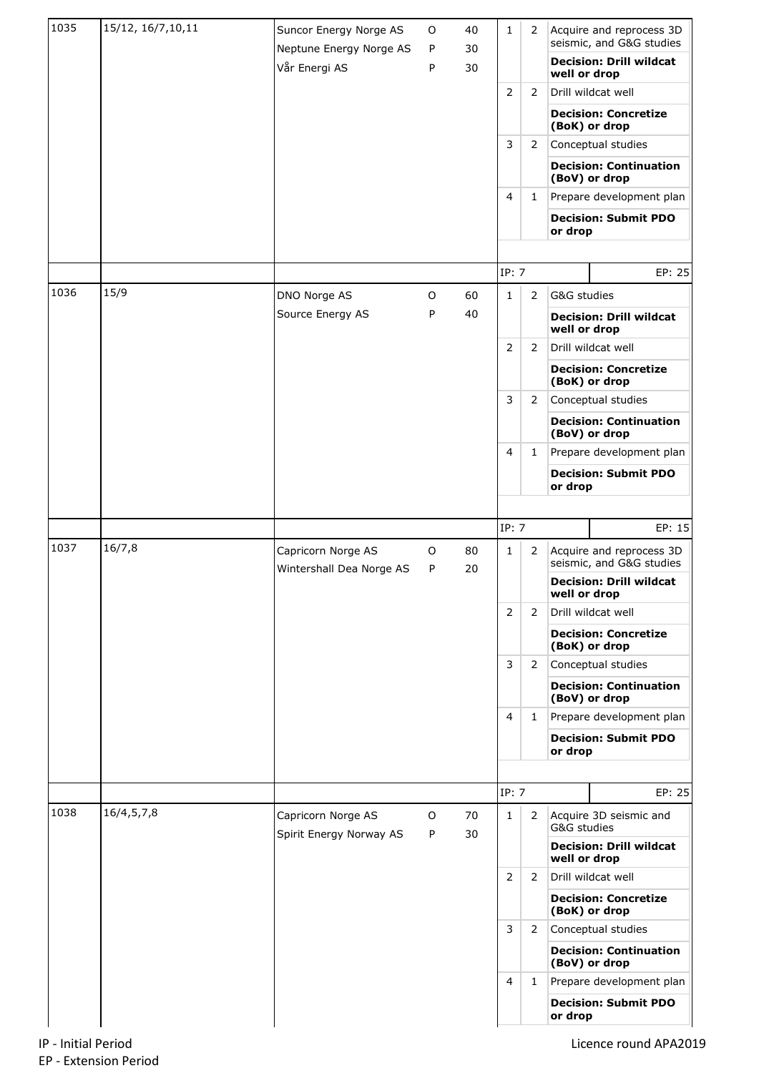| 1035 | 15/12, 16/7, 10, 11 | Suncor Energy Norge AS                         | O      | 40<br>30 | $\mathbf{1}$   | 2              |              | Acquire and reprocess 3D<br>seismic, and G&G studies |
|------|---------------------|------------------------------------------------|--------|----------|----------------|----------------|--------------|------------------------------------------------------|
|      |                     | Neptune Energy Norge AS<br>Vår Energi AS       | P<br>P | 30       |                |                | well or drop | <b>Decision: Drill wildcat</b>                       |
|      |                     |                                                |        |          | 2              | 2              |              | Drill wildcat well                                   |
|      |                     |                                                |        |          |                |                |              | <b>Decision: Concretize</b><br>(BoK) or drop         |
|      |                     |                                                |        |          | 3              | 2              |              | Conceptual studies                                   |
|      |                     |                                                |        |          |                |                |              | <b>Decision: Continuation</b><br>(BoV) or drop       |
|      |                     |                                                |        |          | 4              | $\mathbf{1}$   |              | Prepare development plan                             |
|      |                     |                                                |        |          |                |                | or drop      | <b>Decision: Submit PDO</b>                          |
|      |                     |                                                |        |          |                |                |              |                                                      |
|      |                     |                                                |        |          | IP: 7          |                |              | EP: 25                                               |
| 1036 | 15/9                | DNO Norge AS                                   | 0      | 60       | $\mathbf{1}$   | 2              | G&G studies  |                                                      |
|      |                     | Source Energy AS                               | P      | 40       |                |                | well or drop | <b>Decision: Drill wildcat</b>                       |
|      |                     |                                                |        |          | $\overline{2}$ | $\overline{2}$ |              | Drill wildcat well                                   |
|      |                     |                                                |        |          |                |                |              | <b>Decision: Concretize</b><br>(BoK) or drop         |
|      |                     |                                                |        |          | 3              | 2              |              | Conceptual studies                                   |
|      |                     |                                                |        |          |                |                |              | <b>Decision: Continuation</b><br>(BoV) or drop       |
|      |                     |                                                |        |          | 4              | 1              |              | Prepare development plan                             |
|      |                     |                                                |        |          |                |                | or drop      | <b>Decision: Submit PDO</b>                          |
|      |                     |                                                |        |          |                |                |              |                                                      |
|      |                     |                                                |        |          | IP: 7          |                |              | EP: 15                                               |
| 1037 | 16/7,8              | Capricorn Norge AS<br>Wintershall Dea Norge AS | O<br>P | 80<br>20 | 1              | $\overline{2}$ |              | Acquire and reprocess 3D<br>seismic, and G&G studies |
|      |                     |                                                |        |          |                |                | well or drop | <b>Decision: Drill wildcat</b>                       |
|      |                     |                                                |        |          | $\overline{2}$ | 2              |              | Drill wildcat well                                   |
|      |                     |                                                |        |          |                |                |              | <b>Decision: Concretize</b><br>(BoK) or drop         |
|      |                     |                                                |        |          | 3              | $\overline{2}$ |              | Conceptual studies                                   |
|      |                     |                                                |        |          |                |                |              | <b>Decision: Continuation</b><br>(BoV) or drop       |
|      |                     |                                                |        |          | 4              | $\mathbf{1}$   |              | Prepare development plan                             |
|      |                     |                                                |        |          |                |                | or drop      | <b>Decision: Submit PDO</b>                          |
|      |                     |                                                |        |          |                |                |              |                                                      |
|      |                     |                                                |        |          | IP: 7          |                |              | EP: 25                                               |
| 1038 | 16/4,5,7,8          | Capricorn Norge AS<br>Spirit Energy Norway AS  | O<br>P | 70<br>30 | $\mathbf{1}$   | 2              | G&G studies  | Acquire 3D seismic and                               |
|      |                     |                                                |        |          |                |                | well or drop | <b>Decision: Drill wildcat</b>                       |
|      |                     |                                                |        |          | 2              | 2              |              | Drill wildcat well                                   |
|      |                     |                                                |        |          |                |                |              | <b>Decision: Concretize</b><br>(BoK) or drop         |
|      |                     |                                                |        |          | 3              | $\overline{2}$ |              | Conceptual studies                                   |
|      |                     |                                                |        |          |                |                |              | <b>Decision: Continuation</b><br>(BoV) or drop       |
|      |                     |                                                |        |          | 4              | 1              |              | Prepare development plan                             |
|      |                     |                                                |        |          |                |                | or drop      | <b>Decision: Submit PDO</b>                          |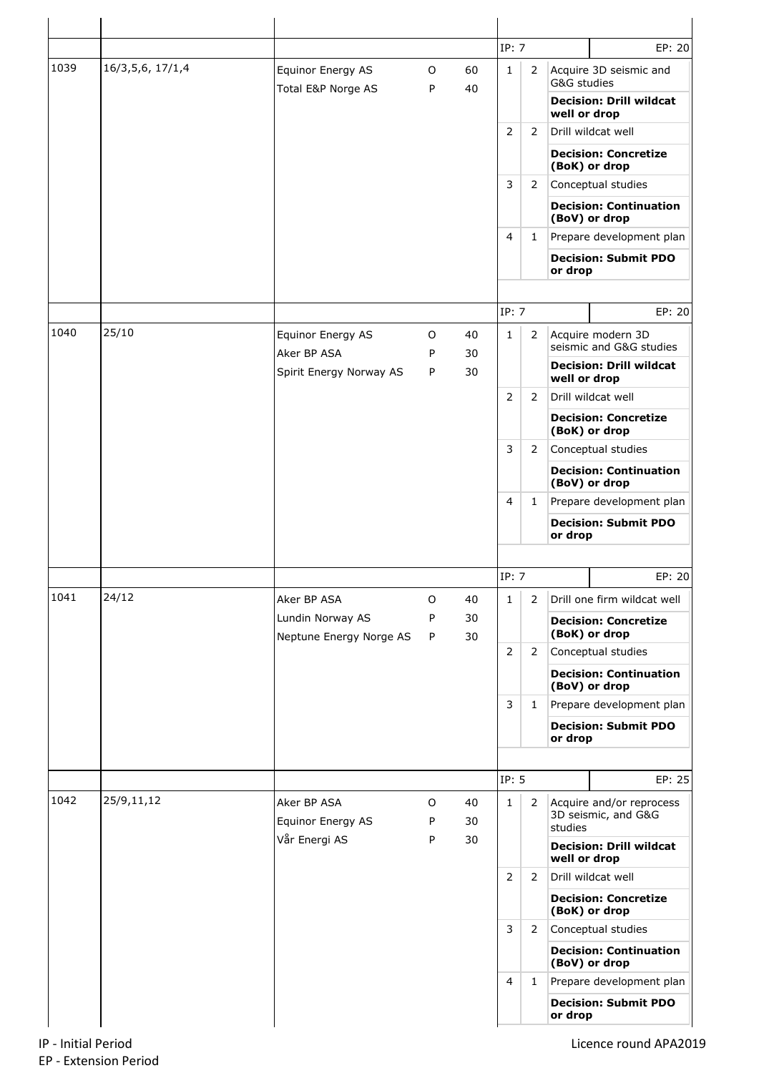|      |                     |                                             |              |          |                                                                                                                                                                                                                                                                                                                                                            |                |                                                                                                                                                                                                                                                                                                                                                   | EP: 20                                          |
|------|---------------------|---------------------------------------------|--------------|----------|------------------------------------------------------------------------------------------------------------------------------------------------------------------------------------------------------------------------------------------------------------------------------------------------------------------------------------------------------------|----------------|---------------------------------------------------------------------------------------------------------------------------------------------------------------------------------------------------------------------------------------------------------------------------------------------------------------------------------------------------|-------------------------------------------------|
| 1039 | 16/3, 5, 6, 17/1, 4 | Equinor Energy AS                           | $\circ$      | 60       |                                                                                                                                                                                                                                                                                                                                                            |                |                                                                                                                                                                                                                                                                                                                                                   | Acquire 3D seismic and                          |
|      |                     | Total E&P Norge AS                          | P            | 40       |                                                                                                                                                                                                                                                                                                                                                            |                | G&G studies                                                                                                                                                                                                                                                                                                                                       |                                                 |
|      |                     |                                             |              |          |                                                                                                                                                                                                                                                                                                                                                            |                | well or drop                                                                                                                                                                                                                                                                                                                                      | <b>Decision: Drill wildcat</b>                  |
|      |                     |                                             |              |          | 2                                                                                                                                                                                                                                                                                                                                                          | 2              |                                                                                                                                                                                                                                                                                                                                                   | Drill wildcat well                              |
|      |                     |                                             |              |          |                                                                                                                                                                                                                                                                                                                                                            |                |                                                                                                                                                                                                                                                                                                                                                   | <b>Decision: Concretize</b>                     |
|      |                     |                                             |              |          | IP: 7<br>$\mathbf{1}$<br>$\overline{2}$<br>3<br>$\overline{2}$<br>$\overline{4}$<br>$\mathbf{1}$<br>IP: 7<br>2<br>$\mathbf{1}$<br>$\overline{2}$<br>2<br>3<br>$\overline{2}$<br>$\overline{4}$<br>$\mathbf{1}$<br>IP: 7<br>$\mathbf{1}$<br>2<br>2<br>$\overline{2}$<br>3<br>$\mathbf{1}$<br>IP: 5<br>$\mathbf{1}$<br>2<br>$\overline{2}$<br>$\overline{2}$ |                | (BoK) or drop                                                                                                                                                                                                                                                                                                                                     |                                                 |
|      |                     |                                             |              |          |                                                                                                                                                                                                                                                                                                                                                            |                |                                                                                                                                                                                                                                                                                                                                                   | Conceptual studies                              |
|      |                     |                                             |              |          |                                                                                                                                                                                                                                                                                                                                                            |                |                                                                                                                                                                                                                                                                                                                                                   | <b>Decision: Continuation</b><br>(BoV) or drop  |
|      |                     |                                             |              |          |                                                                                                                                                                                                                                                                                                                                                            |                |                                                                                                                                                                                                                                                                                                                                                   | Prepare development plan                        |
|      |                     |                                             |              |          |                                                                                                                                                                                                                                                                                                                                                            |                | <b>Decision: Submit PDO</b><br>or drop<br>Acquire modern 3D<br>seismic and G&G studies<br><b>Decision: Drill wildcat</b><br>well or drop<br>Drill wildcat well<br><b>Decision: Concretize</b><br>(BoK) or drop<br>Conceptual studies<br><b>Decision: Continuation</b><br>(BoV) or drop<br>Prepare development plan<br><b>Decision: Submit PDO</b> |                                                 |
|      |                     |                                             |              |          |                                                                                                                                                                                                                                                                                                                                                            |                |                                                                                                                                                                                                                                                                                                                                                   |                                                 |
|      |                     |                                             |              |          |                                                                                                                                                                                                                                                                                                                                                            |                |                                                                                                                                                                                                                                                                                                                                                   | EP: 20                                          |
| 1040 | 25/10               | Equinor Energy AS<br>Aker BP ASA            | $\circ$<br>P | 40<br>30 |                                                                                                                                                                                                                                                                                                                                                            |                |                                                                                                                                                                                                                                                                                                                                                   |                                                 |
|      |                     | Spirit Energy Norway AS                     | P            | 30       |                                                                                                                                                                                                                                                                                                                                                            |                |                                                                                                                                                                                                                                                                                                                                                   |                                                 |
|      |                     |                                             |              |          |                                                                                                                                                                                                                                                                                                                                                            |                |                                                                                                                                                                                                                                                                                                                                                   |                                                 |
|      |                     |                                             |              |          |                                                                                                                                                                                                                                                                                                                                                            |                |                                                                                                                                                                                                                                                                                                                                                   |                                                 |
|      |                     |                                             |              |          |                                                                                                                                                                                                                                                                                                                                                            |                |                                                                                                                                                                                                                                                                                                                                                   |                                                 |
|      |                     |                                             |              |          |                                                                                                                                                                                                                                                                                                                                                            |                |                                                                                                                                                                                                                                                                                                                                                   |                                                 |
|      |                     |                                             |              |          |                                                                                                                                                                                                                                                                                                                                                            |                |                                                                                                                                                                                                                                                                                                                                                   |                                                 |
|      |                     |                                             |              |          |                                                                                                                                                                                                                                                                                                                                                            |                |                                                                                                                                                                                                                                                                                                                                                   |                                                 |
|      |                     |                                             |              |          |                                                                                                                                                                                                                                                                                                                                                            |                | or drop                                                                                                                                                                                                                                                                                                                                           |                                                 |
|      |                     |                                             |              |          |                                                                                                                                                                                                                                                                                                                                                            |                |                                                                                                                                                                                                                                                                                                                                                   |                                                 |
|      |                     |                                             |              |          |                                                                                                                                                                                                                                                                                                                                                            |                |                                                                                                                                                                                                                                                                                                                                                   | EP: 20                                          |
| 1041 | 24/12               | Aker BP ASA                                 | O            | 40       |                                                                                                                                                                                                                                                                                                                                                            |                |                                                                                                                                                                                                                                                                                                                                                   | Drill one firm wildcat well                     |
|      |                     |                                             | P            | 30       |                                                                                                                                                                                                                                                                                                                                                            |                |                                                                                                                                                                                                                                                                                                                                                   |                                                 |
|      |                     | Lundin Norway AS<br>Neptune Energy Norge AS | P            | 30       |                                                                                                                                                                                                                                                                                                                                                            |                |                                                                                                                                                                                                                                                                                                                                                   | <b>Decision: Concretize</b><br>(BoK) or drop    |
|      |                     |                                             |              |          |                                                                                                                                                                                                                                                                                                                                                            |                |                                                                                                                                                                                                                                                                                                                                                   | Conceptual studies                              |
|      |                     |                                             |              |          |                                                                                                                                                                                                                                                                                                                                                            |                |                                                                                                                                                                                                                                                                                                                                                   | <b>Decision: Continuation</b><br>(BoV) or drop  |
|      |                     |                                             |              |          |                                                                                                                                                                                                                                                                                                                                                            |                |                                                                                                                                                                                                                                                                                                                                                   |                                                 |
|      |                     |                                             |              |          |                                                                                                                                                                                                                                                                                                                                                            |                | or drop                                                                                                                                                                                                                                                                                                                                           | <b>Decision: Submit PDO</b>                     |
|      |                     |                                             |              |          |                                                                                                                                                                                                                                                                                                                                                            |                |                                                                                                                                                                                                                                                                                                                                                   |                                                 |
|      |                     |                                             |              |          |                                                                                                                                                                                                                                                                                                                                                            |                |                                                                                                                                                                                                                                                                                                                                                   | Prepare development plan<br>EP: 25              |
| 1042 | 25/9,11,12          | Aker BP ASA<br>Equinor Energy AS            | $\circ$<br>P | 40<br>30 |                                                                                                                                                                                                                                                                                                                                                            |                |                                                                                                                                                                                                                                                                                                                                                   | Acquire and/or reprocess<br>3D seismic, and G&G |
|      |                     | Vår Energi AS                               | P            | 30       |                                                                                                                                                                                                                                                                                                                                                            |                | studies                                                                                                                                                                                                                                                                                                                                           | <b>Decision: Drill wildcat</b>                  |
|      |                     |                                             |              |          |                                                                                                                                                                                                                                                                                                                                                            |                | well or drop                                                                                                                                                                                                                                                                                                                                      | Drill wildcat well                              |
|      |                     |                                             |              |          |                                                                                                                                                                                                                                                                                                                                                            |                |                                                                                                                                                                                                                                                                                                                                                   | <b>Decision: Concretize</b><br>(BoK) or drop    |
|      |                     |                                             |              |          | 3                                                                                                                                                                                                                                                                                                                                                          | $\overline{2}$ |                                                                                                                                                                                                                                                                                                                                                   | Conceptual studies                              |
|      |                     |                                             |              |          |                                                                                                                                                                                                                                                                                                                                                            |                |                                                                                                                                                                                                                                                                                                                                                   | <b>Decision: Continuation</b><br>(BoV) or drop  |
|      |                     |                                             |              |          | $\overline{4}$                                                                                                                                                                                                                                                                                                                                             | $\mathbf{1}$   |                                                                                                                                                                                                                                                                                                                                                   | Prepare development plan                        |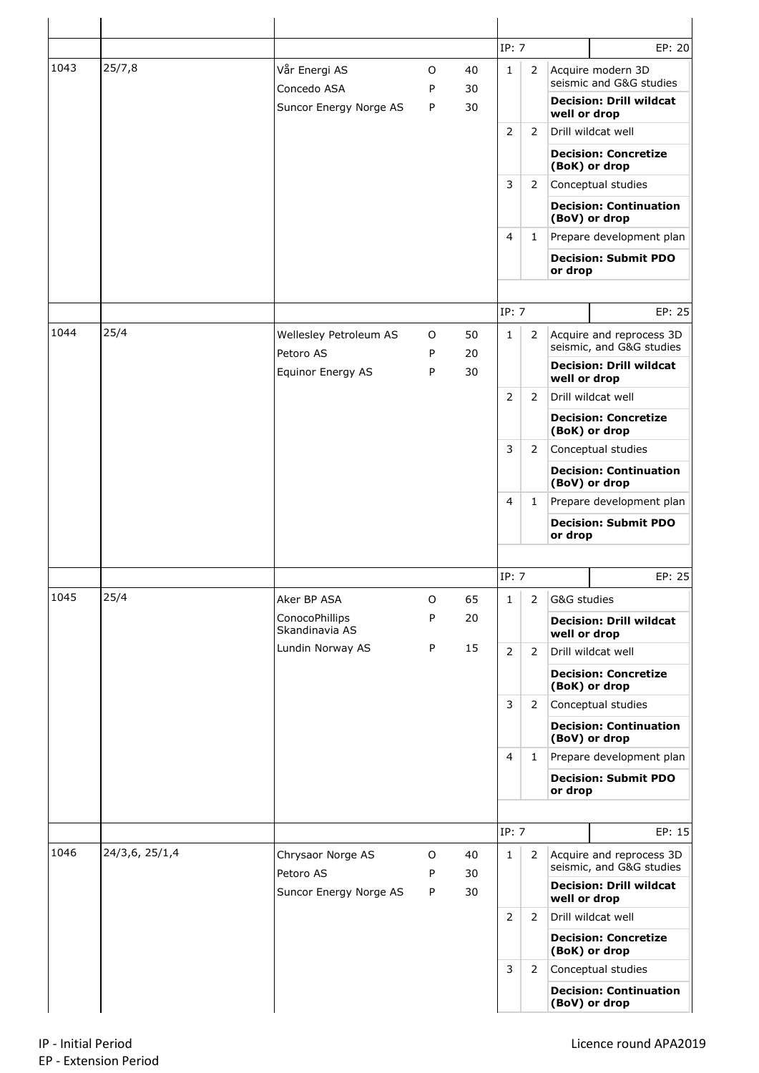|      |                |                                     |        |          | IP: 7          |                |                                                   | EP: 20                                                     |  |  |
|------|----------------|-------------------------------------|--------|----------|----------------|----------------|---------------------------------------------------|------------------------------------------------------------|--|--|
| 1043 | 25/7,8         | Vår Energi AS<br>Concedo ASA        | O<br>P | 40<br>30 | $\mathbf{1}$   | $\overline{2}$ |                                                   | Acquire modern 3D<br>seismic and G&G studies               |  |  |
|      |                | Suncor Energy Norge AS              | P      | 30       |                |                | well or drop                                      | <b>Decision: Drill wildcat</b>                             |  |  |
|      |                |                                     |        |          | $\overline{2}$ | $\mathbf{2}$   |                                                   | Drill wildcat well                                         |  |  |
|      |                |                                     |        |          |                |                |                                                   | <b>Decision: Concretize</b><br>(BoK) or drop               |  |  |
|      |                |                                     |        |          | $\mathsf{3}$   | $\overline{2}$ |                                                   | Conceptual studies                                         |  |  |
|      |                |                                     |        |          |                |                |                                                   | <b>Decision: Continuation</b><br>(BoV) or drop             |  |  |
|      |                |                                     |        |          | 4              | $\mathbf{1}$   |                                                   | Prepare development plan                                   |  |  |
|      |                |                                     |        |          |                |                | or drop                                           | <b>Decision: Submit PDO</b>                                |  |  |
|      |                |                                     |        |          | IP: 7          |                |                                                   | EP: 25                                                     |  |  |
| 1044 | 25/4           | Wellesley Petroleum AS              | O      | 50       | $\mathbf{1}$   | $\overline{2}$ |                                                   | Acquire and reprocess 3D                                   |  |  |
|      |                | Petoro AS                           | P      | 20       |                |                |                                                   | seismic, and G&G studies<br><b>Decision: Drill wildcat</b> |  |  |
|      |                | Equinor Energy AS                   | P      | 30       |                |                | well or drop                                      |                                                            |  |  |
|      |                |                                     |        |          | $\overline{2}$ | $\overline{2}$ | Drill wildcat well<br><b>Decision: Concretize</b> |                                                            |  |  |
|      |                |                                     |        |          |                |                |                                                   | (BoK) or drop                                              |  |  |
|      |                |                                     |        |          | 3              | $\mathbf{2}$   |                                                   | Conceptual studies                                         |  |  |
|      |                |                                     |        |          |                |                |                                                   | <b>Decision: Continuation</b><br>(BoV) or drop             |  |  |
|      |                |                                     |        |          | 4              | $\mathbf{1}$   |                                                   | Prepare development plan                                   |  |  |
|      |                |                                     |        |          |                |                | or drop                                           | <b>Decision: Submit PDO</b>                                |  |  |
|      |                |                                     |        |          |                |                |                                                   |                                                            |  |  |
|      |                |                                     |        |          | IP: 7          |                |                                                   | EP: 25                                                     |  |  |
| 1045 | 25/4           | Aker BP ASA                         | O      | 65       | $\mathbf{1}$   | $\overline{2}$ | G&G studies                                       |                                                            |  |  |
|      |                | ConocoPhillips<br>Skandinavia AS    | P      | 20       |                |                | well or drop                                      | <b>Decision: Drill wildcat</b>                             |  |  |
|      |                | Lundin Norway AS                    | P      | 15       | $\overline{2}$ | $\overline{2}$ |                                                   | Drill wildcat well                                         |  |  |
|      |                |                                     |        |          |                |                |                                                   | <b>Decision: Concretize</b><br>(BoK) or drop               |  |  |
|      |                |                                     |        |          | 3              | $\overline{2}$ |                                                   | Conceptual studies                                         |  |  |
|      |                |                                     |        |          |                |                |                                                   | <b>Decision: Continuation</b><br>(BoV) or drop             |  |  |
|      |                |                                     |        |          | $\overline{4}$ | $\mathbf{1}$   |                                                   | Prepare development plan                                   |  |  |
|      |                |                                     |        |          |                |                | or drop                                           | <b>Decision: Submit PDO</b>                                |  |  |
|      |                |                                     |        |          |                |                |                                                   |                                                            |  |  |
|      |                |                                     |        |          | IP: 7          |                |                                                   | EP: 15                                                     |  |  |
|      |                | Chrysaor Norge AS                   | O      | 40       | $\mathbf{1}$   | $\mathbf{2}$   |                                                   | Acquire and reprocess 3D<br>seismic, and G&G studies       |  |  |
|      | 24/3,6, 25/1,4 |                                     |        |          |                |                |                                                   |                                                            |  |  |
|      |                | Petoro AS<br>Suncor Energy Norge AS | P<br>P | 30<br>30 |                |                |                                                   | <b>Decision: Drill wildcat</b>                             |  |  |
|      |                |                                     |        |          | $\overline{2}$ | $\overline{2}$ | well or drop                                      | Drill wildcat well                                         |  |  |
|      |                |                                     |        |          |                |                |                                                   | <b>Decision: Concretize</b><br>(BoK) or drop               |  |  |
| 1046 |                |                                     |        |          | 3              | $\overline{2}$ |                                                   | Conceptual studies                                         |  |  |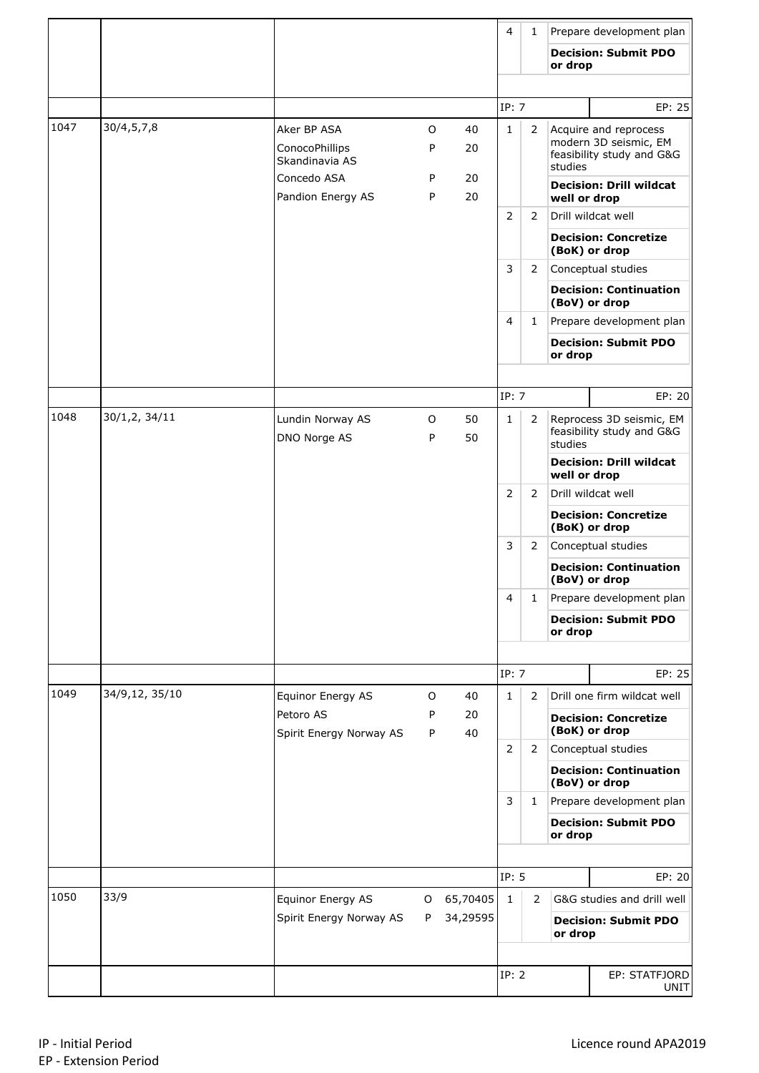|      |                |                                                 |              |          | $\overline{4}$ | 1              |              | Prepare development plan                                                    |
|------|----------------|-------------------------------------------------|--------------|----------|----------------|----------------|--------------|-----------------------------------------------------------------------------|
|      |                |                                                 |              |          |                |                | or drop      | <b>Decision: Submit PDO</b>                                                 |
|      |                |                                                 |              |          |                |                |              |                                                                             |
|      |                |                                                 |              |          | IP: 7          |                |              | EP: 25                                                                      |
| 1047 | 30/4, 5, 7, 8  | Aker BP ASA<br>ConocoPhillips<br>Skandinavia AS | O<br>P       | 40<br>20 | $\mathbf{1}$   | 2              | studies      | Acquire and reprocess<br>modern 3D seismic, EM<br>feasibility study and G&G |
|      |                | Concedo ASA<br>Pandion Energy AS                | P<br>P       | 20<br>20 |                |                | well or drop | <b>Decision: Drill wildcat</b>                                              |
|      |                |                                                 |              |          | 2              | 2              |              | Drill wildcat well                                                          |
|      |                |                                                 |              |          |                |                |              | <b>Decision: Concretize</b><br>(BoK) or drop                                |
|      |                |                                                 |              |          | 3              | 2              |              | Conceptual studies                                                          |
|      |                |                                                 |              |          |                |                |              | <b>Decision: Continuation</b><br>(BoV) or drop                              |
|      |                |                                                 |              |          | $\overline{4}$ | 1              |              | Prepare development plan                                                    |
|      |                |                                                 |              |          |                |                | or drop      | <b>Decision: Submit PDO</b>                                                 |
|      |                |                                                 |              |          |                |                |              |                                                                             |
|      |                |                                                 |              |          | IP: 7          |                |              | EP: 20                                                                      |
| 1048 | 30/1,2, 34/11  | Lundin Norway AS<br>DNO Norge AS                | $\circ$<br>P | 50<br>50 | $\mathbf{1}$   | 2              | studies      | Reprocess 3D seismic, EM<br>feasibility study and G&G                       |
|      |                |                                                 |              |          |                |                | well or drop | <b>Decision: Drill wildcat</b>                                              |
|      |                |                                                 |              |          | $\overline{2}$ | 2              |              | Drill wildcat well                                                          |
|      |                |                                                 |              |          |                |                |              | <b>Decision: Concretize</b><br>(BoK) or drop                                |
|      |                |                                                 |              |          | 3              | 2              |              | Conceptual studies                                                          |
|      |                |                                                 |              |          |                |                |              | <b>Decision: Continuation</b><br>(BoV) or drop                              |
|      |                |                                                 |              |          | 4              | 1              |              | Prepare development plan                                                    |
|      |                |                                                 |              |          |                |                | or drop      | <b>Decision: Submit PDO</b>                                                 |
|      |                |                                                 |              |          |                |                |              |                                                                             |
|      |                |                                                 |              |          | IP: 7          |                |              | EP: 25                                                                      |
| 1049 | 34/9,12, 35/10 | Equinor Energy AS                               | O            | 40       | $\mathbf{1}$   | 2              |              | Drill one firm wildcat well                                                 |
|      |                | Petoro AS<br>Spirit Energy Norway AS            | P<br>P       | 20<br>40 |                |                |              | <b>Decision: Concretize</b><br>(BoK) or drop                                |
|      |                |                                                 |              |          | 2              | 2              |              | Conceptual studies                                                          |
|      |                |                                                 |              |          |                |                |              | <b>Decision: Continuation</b><br>(BoV) or drop                              |
|      |                |                                                 |              |          | 3              | 1              |              | Prepare development plan                                                    |
|      |                |                                                 |              |          |                |                | or drop      | <b>Decision: Submit PDO</b>                                                 |
|      |                |                                                 |              |          |                |                |              |                                                                             |
|      |                |                                                 |              |          | IP: 5          |                |              | EP: 20                                                                      |
| 1050 | 33/9           | Equinor Energy AS                               | O            | 65,70405 | $\mathbf{1}$   | $\overline{2}$ |              | G&G studies and drill well                                                  |
|      |                | Spirit Energy Norway AS                         | P            | 34,29595 |                |                | or drop      | <b>Decision: Submit PDO</b>                                                 |
|      |                |                                                 |              |          |                |                |              |                                                                             |
|      |                |                                                 |              |          | IP: 2          |                |              | EP: STATFJORD<br>UNIT                                                       |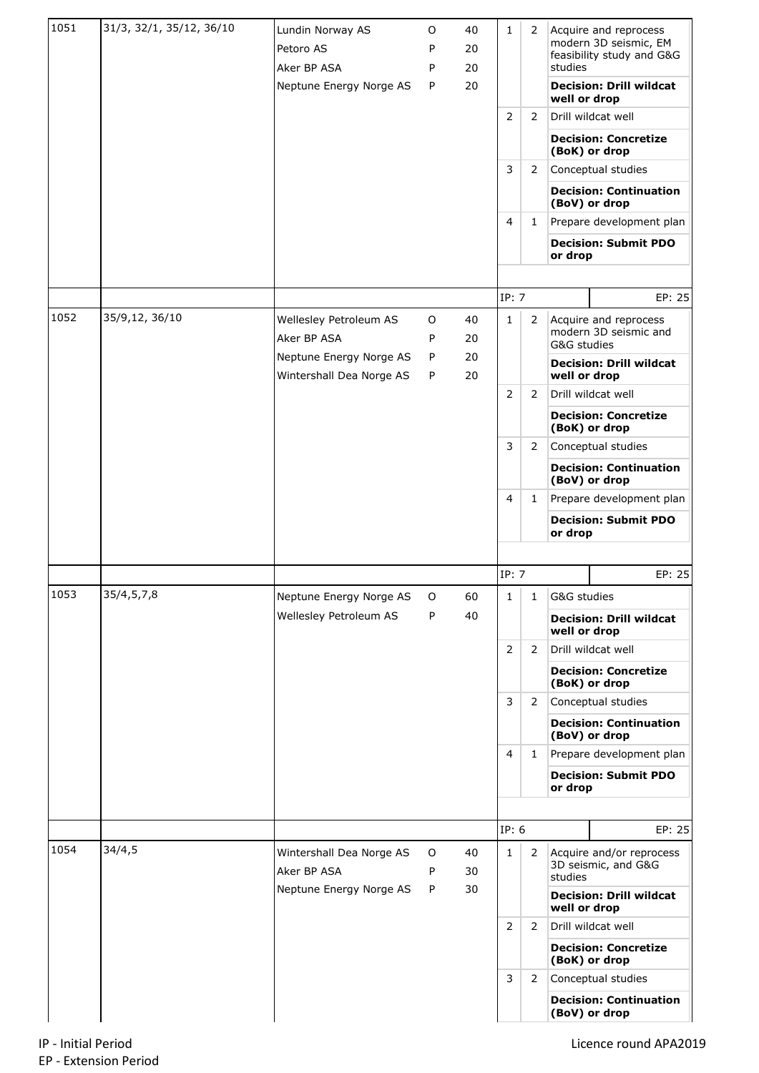| 1051 | 31/3, 32/1, 35/12, 36/10 | Lundin Norway AS<br>Petoro AS<br>Aker BP ASA<br>Neptune Energy Norge AS | O<br>P<br>P<br>P | 40<br>20<br>20<br>20 | 1                 | 2              | Acquire and reprocess<br>modern 3D seismic, EM<br>feasibility study and G&G<br>studies<br><b>Decision: Drill wildcat</b><br>well or drop |
|------|--------------------------|-------------------------------------------------------------------------|------------------|----------------------|-------------------|----------------|------------------------------------------------------------------------------------------------------------------------------------------|
|      |                          |                                                                         |                  |                      | 2                 | 2              | Drill wildcat well                                                                                                                       |
|      |                          |                                                                         |                  |                      |                   |                | <b>Decision: Concretize</b><br>(BoK) or drop                                                                                             |
|      |                          |                                                                         |                  |                      | 3                 | 2              | Conceptual studies                                                                                                                       |
|      |                          |                                                                         |                  |                      |                   |                | <b>Decision: Continuation</b><br>(BoV) or drop                                                                                           |
|      |                          |                                                                         |                  |                      | 4                 | $\mathbf{1}$   | Prepare development plan                                                                                                                 |
|      |                          |                                                                         |                  |                      |                   |                | <b>Decision: Submit PDO</b><br>or drop                                                                                                   |
|      |                          |                                                                         |                  |                      | IP: 7             |                | EP: 25                                                                                                                                   |
| 1052 | 35/9,12, 36/10           | Wellesley Petroleum AS                                                  | 0                | 40                   | 1                 | 2              | Acquire and reprocess                                                                                                                    |
|      |                          | Aker BP ASA                                                             | P                | 20                   |                   |                | modern 3D seismic and<br>G&G studies                                                                                                     |
|      |                          | Neptune Energy Norge AS<br>Wintershall Dea Norge AS                     | P<br>P           | 20<br>20             |                   |                | <b>Decision: Drill wildcat</b><br>well or drop                                                                                           |
|      |                          |                                                                         |                  |                      | 2                 | 2              | Drill wildcat well                                                                                                                       |
|      |                          |                                                                         |                  |                      |                   |                | <b>Decision: Concretize</b><br>(BoK) or drop                                                                                             |
|      |                          |                                                                         |                  |                      | 3                 | 2              | Conceptual studies                                                                                                                       |
|      |                          |                                                                         |                  |                      | 4<br>$\mathbf{1}$ |                | <b>Decision: Continuation</b><br>(BoV) or drop                                                                                           |
|      |                          |                                                                         |                  |                      |                   |                | Prepare development plan                                                                                                                 |
|      |                          |                                                                         |                  |                      |                   |                | <b>Decision: Submit PDO</b><br>or drop                                                                                                   |
|      |                          |                                                                         |                  |                      |                   |                |                                                                                                                                          |
| 1053 | 35/4,5,7,8               | Neptune Energy Norge AS                                                 | O                | 60                   | IP: 7<br>1        | 1              | EP: 25<br>G&G studies                                                                                                                    |
|      |                          | Wellesley Petroleum AS                                                  | P                | 40                   |                   |                | <b>Decision: Drill wildcat</b>                                                                                                           |
|      |                          |                                                                         |                  |                      | $\overline{2}$    | 2              | well or drop<br>Drill wildcat well                                                                                                       |
|      |                          |                                                                         |                  |                      |                   |                | <b>Decision: Concretize</b><br>(BoK) or drop                                                                                             |
|      |                          |                                                                         |                  |                      | 3                 | 2              | Conceptual studies                                                                                                                       |
|      |                          |                                                                         |                  |                      |                   |                | <b>Decision: Continuation</b><br>(BoV) or drop                                                                                           |
|      |                          |                                                                         |                  |                      | 4                 | 1              | Prepare development plan                                                                                                                 |
|      |                          |                                                                         |                  |                      |                   |                | <b>Decision: Submit PDO</b><br>or drop                                                                                                   |
|      |                          |                                                                         |                  |                      |                   |                |                                                                                                                                          |
|      |                          |                                                                         |                  |                      | IP: 6             |                | EP: 25                                                                                                                                   |
| 1054 | 34/4,5                   | Wintershall Dea Norge AS<br>Aker BP ASA                                 | 0<br>P           | 40<br>30             | $\mathbf{1}$      | 2              | Acquire and/or reprocess<br>3D seismic, and G&G                                                                                          |
|      |                          | Neptune Energy Norge AS                                                 | P                | 30                   |                   |                | studies<br><b>Decision: Drill wildcat</b>                                                                                                |
|      |                          |                                                                         |                  |                      | 2                 | 2              | well or drop<br>Drill wildcat well                                                                                                       |
|      |                          |                                                                         |                  |                      |                   |                | <b>Decision: Concretize</b><br>(BoK) or drop                                                                                             |
|      |                          |                                                                         |                  |                      | 3                 | $\overline{2}$ | Conceptual studies                                                                                                                       |
|      |                          |                                                                         |                  |                      |                   |                | <b>Decision: Continuation</b><br>(BoV) or drop                                                                                           |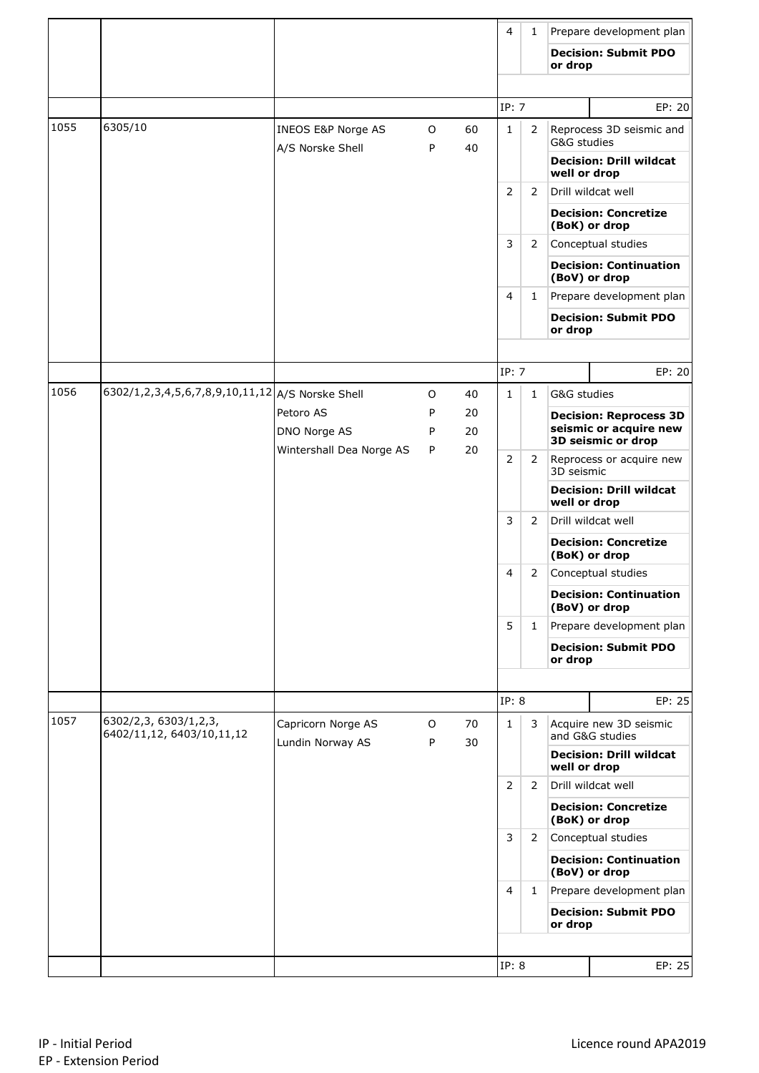|      |                                                    |                                        |        |          | 4              | 1            |              | Prepare development plan                                |
|------|----------------------------------------------------|----------------------------------------|--------|----------|----------------|--------------|--------------|---------------------------------------------------------|
|      |                                                    |                                        |        |          |                |              | or drop      | <b>Decision: Submit PDO</b>                             |
|      |                                                    |                                        |        |          |                |              |              |                                                         |
|      |                                                    |                                        |        |          | IP: 7          |              |              | EP: 20                                                  |
| 1055 | 6305/10                                            | INEOS E&P Norge AS<br>A/S Norske Shell | O<br>P | 60<br>40 | 1              | 2            | G&G studies  | Reprocess 3D seismic and                                |
|      |                                                    |                                        |        |          |                |              | well or drop | <b>Decision: Drill wildcat</b>                          |
|      |                                                    |                                        |        |          | 2              | 2            |              | Drill wildcat well                                      |
|      |                                                    |                                        |        |          |                |              |              | <b>Decision: Concretize</b><br>(BoK) or drop            |
|      |                                                    |                                        |        |          | 3              | 2            |              | Conceptual studies                                      |
|      |                                                    |                                        |        |          |                |              |              | <b>Decision: Continuation</b><br>(BoV) or drop          |
|      |                                                    |                                        |        |          | 4              | $\mathbf{1}$ |              | Prepare development plan                                |
|      |                                                    |                                        |        |          |                |              | or drop      | <b>Decision: Submit PDO</b>                             |
|      |                                                    |                                        |        |          |                |              |              |                                                         |
|      |                                                    |                                        |        |          | IP: 7          |              |              | EP: 20                                                  |
| 1056 | 6302/1,2,3,4,5,6,7,8,9,10,11,12 A/S Norske Shell   |                                        | O      | 40       | $\mathbf{1}$   | $\mathbf{1}$ | G&G studies  |                                                         |
|      |                                                    | Petoro AS                              | P      | 20       |                |              |              | <b>Decision: Reprocess 3D</b><br>seismic or acquire new |
|      |                                                    | DNO Norge AS                           | P      | 20<br>20 |                |              |              | 3D seismic or drop                                      |
|      |                                                    | Wintershall Dea Norge AS               | P      |          | $\overline{2}$ | 2            | 3D seismic   | Reprocess or acquire new                                |
|      |                                                    |                                        |        |          |                |              | well or drop | <b>Decision: Drill wildcat</b>                          |
|      |                                                    |                                        |        |          | 3              | 2            |              | Drill wildcat well                                      |
|      |                                                    |                                        |        |          |                |              |              | <b>Decision: Concretize</b><br>(BoK) or drop            |
|      |                                                    |                                        |        |          | 4              | 2            |              | Conceptual studies                                      |
|      |                                                    |                                        |        |          |                |              |              | <b>Decision: Continuation</b><br>(BoV) or drop          |
|      |                                                    |                                        |        |          | 5              | $\mathbf{1}$ |              | Prepare development plan                                |
|      |                                                    |                                        |        |          |                |              | or drop      | <b>Decision: Submit PDO</b>                             |
|      |                                                    |                                        |        |          |                |              |              |                                                         |
|      |                                                    |                                        |        |          | IP: 8          |              |              | EP: 25                                                  |
| 1057 | 6302/2,3, 6303/1,2,3,<br>6402/11,12, 6403/10,11,12 | Capricorn Norge AS<br>Lundin Norway AS | 0<br>P | 70<br>30 | $\mathbf{1}$   | 3            |              | Acquire new 3D seismic<br>and G&G studies               |
|      |                                                    |                                        |        |          |                |              | well or drop | <b>Decision: Drill wildcat</b>                          |
|      |                                                    |                                        |        |          | 2              | 2            |              | Drill wildcat well                                      |
|      |                                                    |                                        |        |          |                |              |              | <b>Decision: Concretize</b><br>(BoK) or drop            |
|      |                                                    |                                        |        |          | 3              | 2            |              | Conceptual studies                                      |
|      |                                                    |                                        |        |          |                |              |              | <b>Decision: Continuation</b><br>(BoV) or drop          |
|      |                                                    |                                        |        |          | 4              | $\mathbf{1}$ |              | Prepare development plan                                |
|      |                                                    |                                        |        |          |                |              | or drop      | <b>Decision: Submit PDO</b>                             |
|      |                                                    |                                        |        |          |                |              |              |                                                         |
|      |                                                    |                                        |        |          | IP: 8          |              |              | EP: 25                                                  |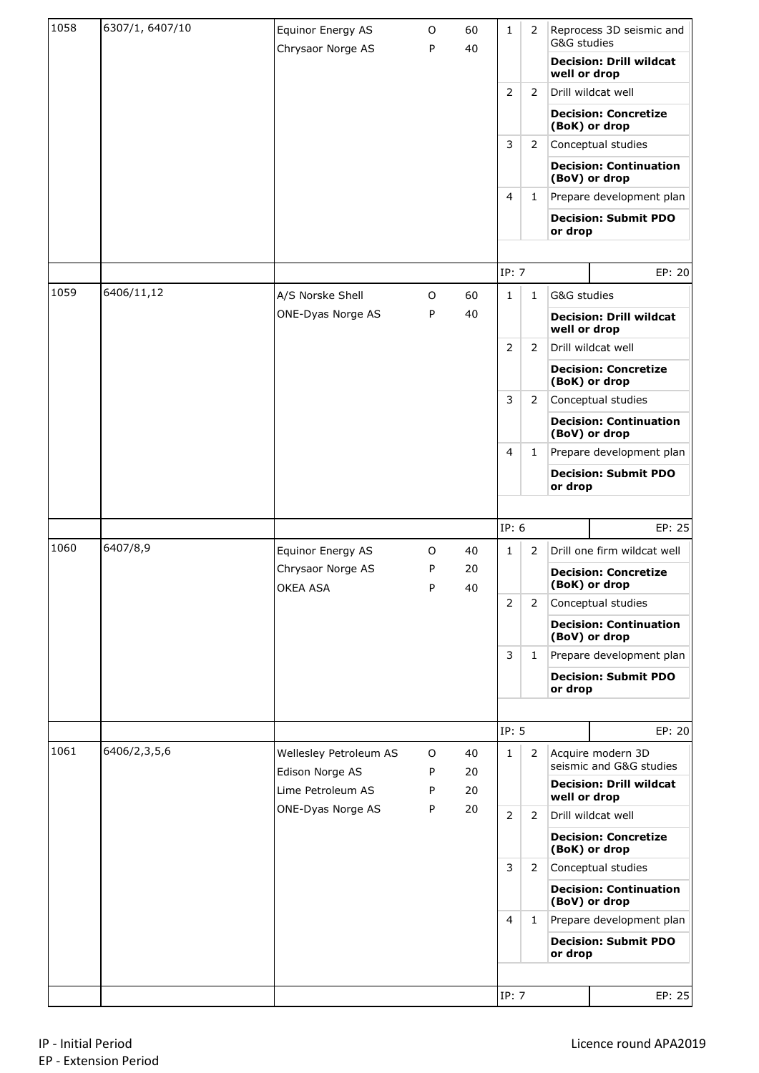| 1058 | 6307/1, 6407/10 | Equinor Energy AS                    | O      | 60       | 1              | 2            | G&G studies  | Reprocess 3D seismic and                            |
|------|-----------------|--------------------------------------|--------|----------|----------------|--------------|--------------|-----------------------------------------------------|
|      |                 | Chrysaor Norge AS                    | P      | 40       |                |              | well or drop | <b>Decision: Drill wildcat</b>                      |
|      |                 |                                      |        |          | 2              | 2            |              | Drill wildcat well                                  |
|      |                 |                                      |        |          |                |              |              | <b>Decision: Concretize</b><br>(BoK) or drop        |
|      |                 |                                      |        |          | 3              | 2            |              | Conceptual studies                                  |
|      |                 |                                      |        |          |                |              |              | <b>Decision: Continuation</b><br>(BoV) or drop      |
|      |                 |                                      |        |          | 4              | 1            |              | Prepare development plan                            |
|      |                 |                                      |        |          |                |              | or drop      | <b>Decision: Submit PDO</b>                         |
|      |                 |                                      |        |          |                |              |              |                                                     |
|      |                 |                                      |        |          | IP: 7          |              |              | EP: 20                                              |
| 1059 | 6406/11,12      | A/S Norske Shell                     | O      | 60       | $\mathbf{1}$   | $\mathbf{1}$ | G&G studies  |                                                     |
|      |                 | ONE-Dyas Norge AS                    | P      | 40       |                |              | well or drop | <b>Decision: Drill wildcat</b>                      |
|      |                 |                                      |        |          | 2              | 2            |              | Drill wildcat well                                  |
|      |                 |                                      |        |          |                |              |              | <b>Decision: Concretize</b><br>(BoK) or drop        |
|      |                 |                                      |        |          | 3              | 2            |              | Conceptual studies                                  |
|      |                 |                                      |        |          |                |              |              | <b>Decision: Continuation</b><br>(BoV) or drop      |
|      |                 |                                      |        |          | 4              | 1            |              | Prepare development plan                            |
|      |                 |                                      |        |          |                |              | or drop      | <b>Decision: Submit PDO</b>                         |
|      |                 |                                      |        |          |                |              |              |                                                     |
|      |                 |                                      |        |          | IP: 6          |              |              | EP: 25                                              |
| 1060 | 6407/8,9        | Equinor Energy AS                    | 0      | 40       | $\mathbf{1}$   | 2            |              | Drill one firm wildcat well                         |
|      |                 | Chrysaor Norge AS<br>OKEA ASA        | P<br>P | 20<br>40 |                |              |              | <b>Decision: Concretize</b><br>(BoK) or drop        |
|      |                 |                                      |        |          | $\overline{2}$ | 2            |              | Conceptual studies                                  |
|      |                 |                                      |        |          |                |              |              | <b>Decision: Continuation</b><br>(BoV) or drop      |
|      |                 |                                      |        |          | 3              | $\mathbf{1}$ |              | Prepare development plan                            |
|      |                 |                                      |        |          |                |              | or drop      | <b>Decision: Submit PDO</b>                         |
|      |                 |                                      |        |          |                |              |              |                                                     |
|      |                 |                                      |        |          | IP: 5          |              |              | EP: 20                                              |
| 1061 | 6406/2,3,5,6    | Wellesley Petroleum AS               | 0      | 40       | $\mathbf{1}$   | 2            |              | Acquire modern 3D<br>seismic and G&G studies        |
|      |                 | Edison Norge AS<br>Lime Petroleum AS | P<br>P | 20<br>20 |                |              |              | <b>Decision: Drill wildcat</b>                      |
|      |                 | ONE-Dyas Norge AS                    | P      | 20       |                |              | well or drop |                                                     |
|      |                 |                                      |        |          | $\overline{2}$ | 2            |              | Drill wildcat well                                  |
|      |                 |                                      |        |          |                |              |              | <b>Decision: Concretize</b><br>(BoK) or drop        |
|      |                 |                                      |        |          | 3              | 2            |              | Conceptual studies<br><b>Decision: Continuation</b> |
|      |                 |                                      |        |          |                |              |              | (BoV) or drop                                       |
|      |                 |                                      |        |          | 4              | 1            |              | Prepare development plan                            |
|      |                 |                                      |        |          |                |              |              | <b>Decision: Submit PDO</b>                         |
|      |                 |                                      |        |          |                |              | or drop      |                                                     |
|      |                 |                                      |        |          | IP: 7          |              |              | EP: 25                                              |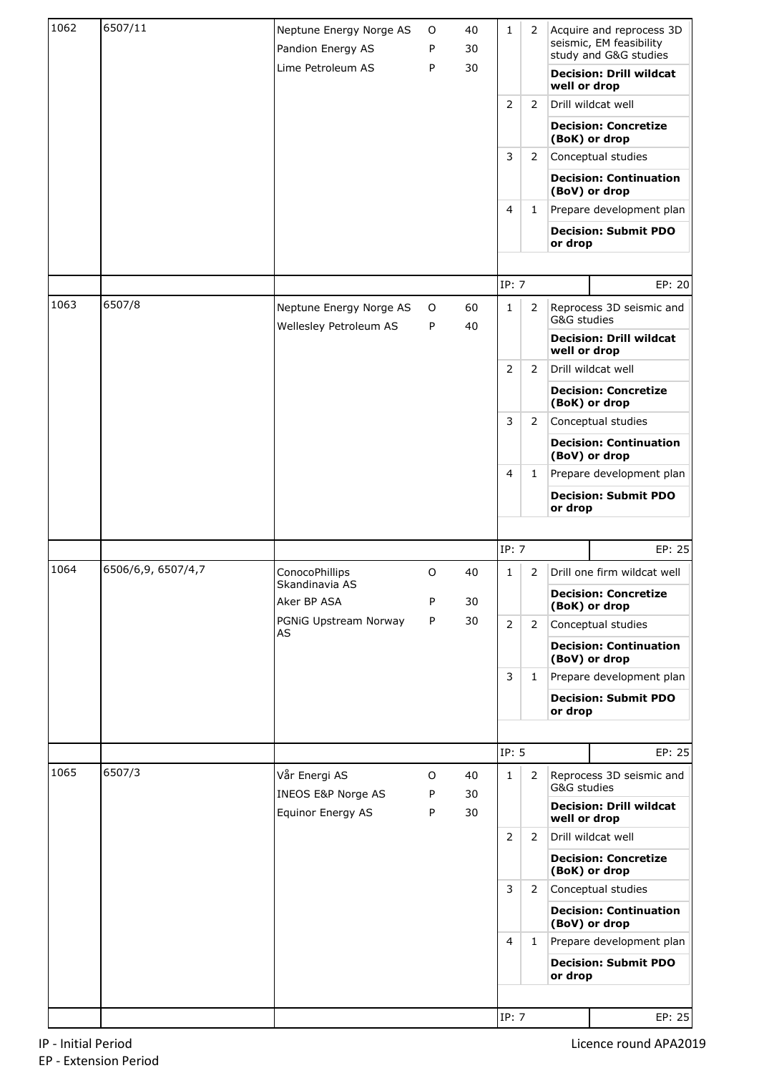| 1062 | 6507/11            | Neptune Energy Norge AS<br>Pandion Energy AS<br>Lime Petroleum AS | 0<br>P<br>P | 40<br>30<br>30 | $\mathbf{1}$ | 2            |              | Acquire and reprocess 3D<br>seismic, EM feasibility<br>study and G&G studies<br><b>Decision: Drill wildcat</b> |
|------|--------------------|-------------------------------------------------------------------|-------------|----------------|--------------|--------------|--------------|----------------------------------------------------------------------------------------------------------------|
|      |                    |                                                                   |             |                |              |              | well or drop |                                                                                                                |
|      |                    |                                                                   |             |                | 2            | 2            |              | Drill wildcat well                                                                                             |
|      |                    |                                                                   |             |                |              |              |              | <b>Decision: Concretize</b><br>(BoK) or drop                                                                   |
|      |                    |                                                                   |             |                | 3            | 2            |              | Conceptual studies                                                                                             |
|      |                    |                                                                   |             |                |              |              |              | <b>Decision: Continuation</b><br>(BoV) or drop                                                                 |
|      |                    |                                                                   |             |                | 4            | $\mathbf{1}$ |              | Prepare development plan                                                                                       |
|      |                    |                                                                   |             |                |              |              | or drop      | <b>Decision: Submit PDO</b>                                                                                    |
|      |                    |                                                                   |             |                |              |              |              |                                                                                                                |
| 1063 |                    |                                                                   |             |                | IP: 7        |              |              | EP: 20                                                                                                         |
|      | 6507/8             | Neptune Energy Norge AS<br>Wellesley Petroleum AS                 | 0<br>P      | 60<br>40       | $\mathbf{1}$ | 2            | G&G studies  | Reprocess 3D seismic and                                                                                       |
|      |                    |                                                                   |             |                |              |              | well or drop | <b>Decision: Drill wildcat</b>                                                                                 |
|      |                    |                                                                   |             |                | 2            | 2            |              | Drill wildcat well                                                                                             |
|      |                    |                                                                   |             |                |              |              |              | <b>Decision: Concretize</b><br>(BoK) or drop                                                                   |
|      |                    |                                                                   |             |                | 3            | 2            |              | Conceptual studies                                                                                             |
|      |                    |                                                                   |             |                |              |              |              | <b>Decision: Continuation</b><br>(BoV) or drop                                                                 |
|      |                    |                                                                   |             |                | 4            | $\mathbf{1}$ |              | Prepare development plan                                                                                       |
|      |                    |                                                                   |             |                |              |              | or drop      | <b>Decision: Submit PDO</b>                                                                                    |
|      |                    |                                                                   |             |                |              |              |              |                                                                                                                |
|      |                    |                                                                   |             |                | IP: 7        |              |              | EP: 25                                                                                                         |
| 1064 | 6506/6,9, 6507/4,7 | ConocoPhillips<br>Skandinavia AS                                  | O           | 40             | 1            | 2            |              | Drill one firm wildcat well                                                                                    |
|      |                    | Aker BP ASA                                                       | P           | 30             |              |              |              | <b>Decision: Concretize</b><br>(BoK) or drop                                                                   |
|      |                    | PGNiG Upstream Norway<br>AS                                       | P           | 30             | 2            | 2            |              | Conceptual studies                                                                                             |
|      |                    |                                                                   |             |                |              |              |              | <b>Decision: Continuation</b><br>(BoV) or drop                                                                 |
|      |                    |                                                                   |             |                | 3            | $\mathbf{1}$ |              | Prepare development plan                                                                                       |
|      |                    |                                                                   |             |                |              |              | or drop      | <b>Decision: Submit PDO</b>                                                                                    |
|      |                    |                                                                   |             |                |              |              |              |                                                                                                                |
|      |                    |                                                                   |             |                | IP: 5        |              |              | EP: 25                                                                                                         |
| 1065 | 6507/3             | Vår Energi AS<br>INEOS E&P Norge AS                               | 0<br>P      | 40<br>30       | $\mathbf{1}$ | 2            | G&G studies  | Reprocess 3D seismic and                                                                                       |
|      |                    | Equinor Energy AS                                                 | P           | 30             |              |              | well or drop | <b>Decision: Drill wildcat</b>                                                                                 |
|      |                    |                                                                   |             |                | 2            | 2            |              | Drill wildcat well                                                                                             |
|      |                    |                                                                   |             |                |              |              |              | <b>Decision: Concretize</b><br>(BoK) or drop                                                                   |
|      |                    |                                                                   |             |                | 3            | 2            |              | Conceptual studies                                                                                             |
|      |                    |                                                                   |             |                |              |              |              | <b>Decision: Continuation</b><br>(BoV) or drop                                                                 |
|      |                    |                                                                   |             |                | 4            | $\mathbf{1}$ |              | Prepare development plan                                                                                       |
|      |                    |                                                                   |             |                |              |              | or drop      | <b>Decision: Submit PDO</b>                                                                                    |
|      |                    |                                                                   |             |                |              |              |              |                                                                                                                |
|      |                    |                                                                   |             |                | IP: 7        |              |              | EP: 25                                                                                                         |

Licence round APA2019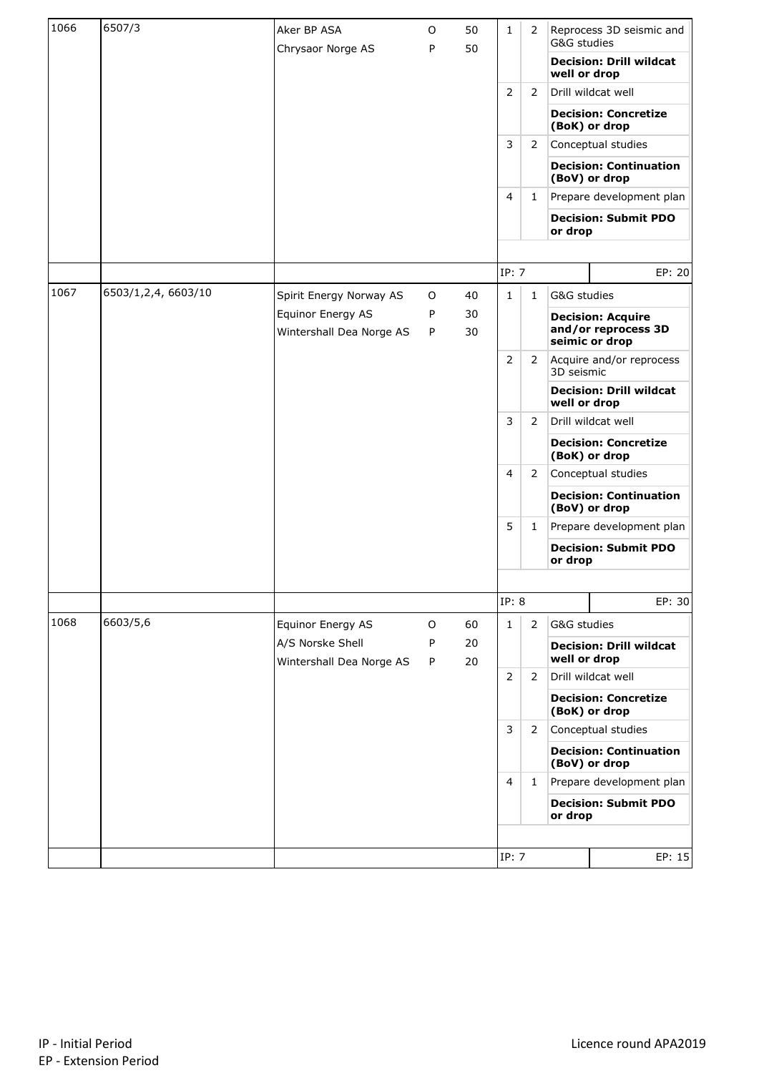| 1066 | 6507/3             | Aker BP ASA                                  | O      | 50       | $\mathbf{1}$   | $\overline{2}$ | G&G studies                                  | Reprocess 3D seismic and                       |
|------|--------------------|----------------------------------------------|--------|----------|----------------|----------------|----------------------------------------------|------------------------------------------------|
|      |                    | Chrysaor Norge AS                            | P      | 50       |                |                | well or drop                                 | <b>Decision: Drill wildcat</b>                 |
|      |                    |                                              |        |          | 2              | 2              |                                              | Drill wildcat well                             |
|      |                    |                                              |        |          |                |                |                                              | <b>Decision: Concretize</b><br>(BoK) or drop   |
|      |                    |                                              |        |          | 3              | 2              |                                              | Conceptual studies                             |
|      |                    |                                              |        |          |                |                |                                              | <b>Decision: Continuation</b><br>(BoV) or drop |
|      |                    |                                              |        |          | 4              | 1              |                                              | Prepare development plan                       |
|      |                    |                                              |        |          |                |                | or drop                                      | <b>Decision: Submit PDO</b>                    |
|      |                    |                                              |        |          |                |                |                                              |                                                |
|      |                    |                                              |        |          | IP: 7          |                |                                              | EP: 20                                         |
| 1067 | 6503/1,2,4,6603/10 | Spirit Energy Norway AS                      | 0      | 40       | $\mathbf{1}$   | $\mathbf{1}$   | G&G studies                                  |                                                |
|      |                    | Equinor Energy AS                            | P      | 30       |                |                |                                              | <b>Decision: Acquire</b>                       |
|      |                    | Wintershall Dea Norge AS                     | P      | 30       |                |                |                                              | and/or reprocess 3D<br>seimic or drop          |
|      |                    |                                              |        |          | $\overline{2}$ | 2              | 3D seismic                                   | Acquire and/or reprocess                       |
|      |                    |                                              |        |          |                |                | well or drop                                 | <b>Decision: Drill wildcat</b>                 |
|      |                    |                                              |        |          | 3              | 2              |                                              | Drill wildcat well                             |
|      |                    |                                              |        |          | 4<br>2         |                | <b>Decision: Concretize</b><br>(BoK) or drop |                                                |
|      |                    |                                              |        |          |                |                |                                              | Conceptual studies                             |
|      |                    |                                              |        |          |                |                |                                              | <b>Decision: Continuation</b><br>(BoV) or drop |
|      |                    |                                              |        |          | 5              | 1              |                                              | Prepare development plan                       |
|      |                    |                                              |        |          |                |                | or drop                                      | <b>Decision: Submit PDO</b>                    |
|      |                    |                                              |        |          |                |                |                                              |                                                |
|      |                    |                                              |        |          | IP: 8          |                |                                              | EP: 30                                         |
| 1068 | 6603/5,6           | Equinor Energy AS                            | O      | 60       | $\mathbf{1}$   | $\overline{2}$ | G&G studies                                  |                                                |
|      |                    | A/S Norske Shell<br>Wintershall Dea Norge AS | P<br>P | 20<br>20 |                |                | well or drop                                 | <b>Decision: Drill wildcat</b>                 |
|      |                    |                                              |        |          | 2              | 2              |                                              | Drill wildcat well                             |
|      |                    |                                              |        |          |                |                |                                              | <b>Decision: Concretize</b><br>(BoK) or drop   |
|      |                    |                                              |        |          | 3              | 2              |                                              | Conceptual studies                             |
|      |                    |                                              |        |          |                |                |                                              | <b>Decision: Continuation</b><br>(BoV) or drop |
|      |                    |                                              |        |          | $\overline{4}$ | 1              |                                              | Prepare development plan                       |
|      |                    |                                              |        |          |                |                | or drop                                      | <b>Decision: Submit PDO</b>                    |
|      |                    |                                              |        |          |                |                |                                              |                                                |
|      |                    |                                              |        |          | IP: 7          |                |                                              | EP: 15                                         |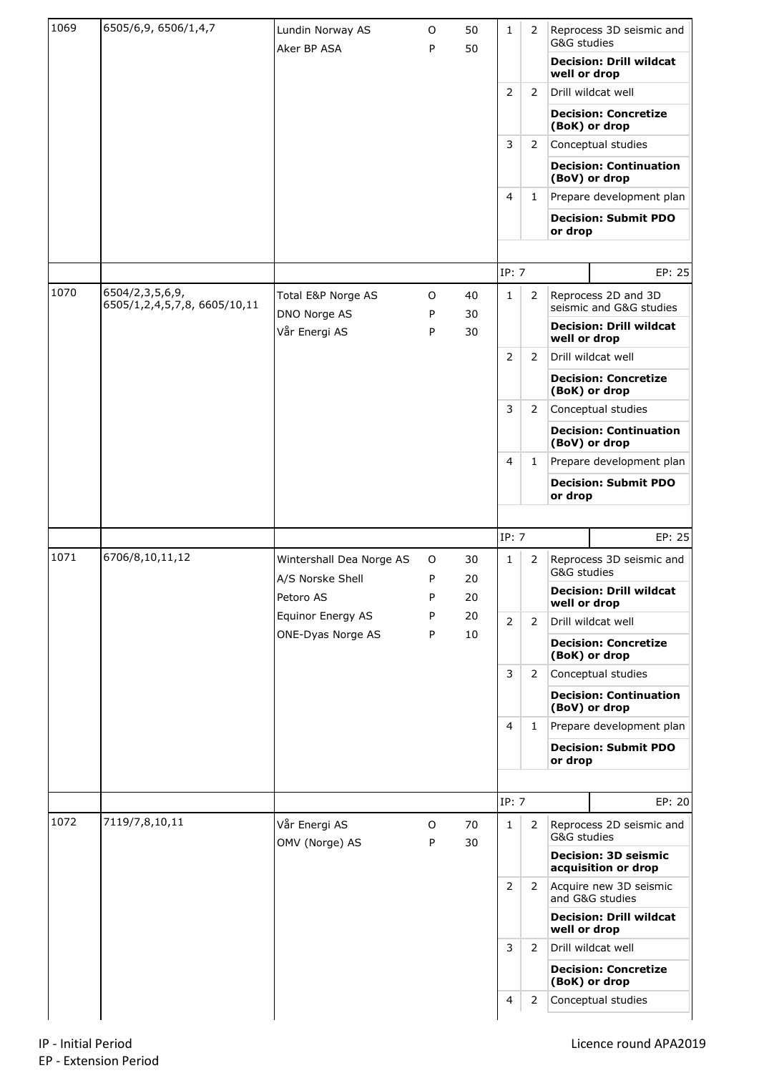| 1069 | 6505/6,9, 6506/1,4,7                           | Lundin Norway AS              | O      | 50       | 1              | 2              | G&G studies  | Reprocess 3D seismic and                                           |
|------|------------------------------------------------|-------------------------------|--------|----------|----------------|----------------|--------------|--------------------------------------------------------------------|
|      |                                                | Aker BP ASA                   | P      | 50       |                |                | well or drop | <b>Decision: Drill wildcat</b>                                     |
|      |                                                |                               |        |          | 2              | $\overline{2}$ |              | Drill wildcat well                                                 |
|      |                                                |                               |        |          |                |                |              | <b>Decision: Concretize</b><br>(BoK) or drop                       |
|      |                                                |                               |        |          | 3              | 2              |              | Conceptual studies                                                 |
|      |                                                |                               |        |          |                |                |              | <b>Decision: Continuation</b><br>(BoV) or drop                     |
|      |                                                |                               |        |          | 4              | 1              |              | Prepare development plan                                           |
|      |                                                |                               |        |          |                |                | or drop      | <b>Decision: Submit PDO</b>                                        |
|      |                                                |                               |        |          |                |                |              |                                                                    |
|      |                                                |                               |        |          | IP: 7          |                |              | EP: 25                                                             |
| 1070 | 6504/2,3,5,6,9,<br>6505/1,2,4,5,7,8,6605/10,11 | Total E&P Norge AS            | 0      | 40       | 1              | 2              |              | Reprocess 2D and 3D<br>seismic and G&G studies                     |
|      |                                                | DNO Norge AS<br>Vår Energi AS | P<br>P | 30<br>30 |                |                | well or drop | <b>Decision: Drill wildcat</b>                                     |
|      |                                                |                               |        |          | 2              | 2              |              | Drill wildcat well                                                 |
|      |                                                |                               |        |          |                |                |              | <b>Decision: Concretize</b><br>(BoK) or drop                       |
|      |                                                |                               |        |          | 3              | 2              |              | Conceptual studies                                                 |
|      |                                                |                               |        |          |                |                |              | <b>Decision: Continuation</b><br>(BoV) or drop                     |
|      |                                                |                               |        |          | 4              | 1              |              | Prepare development plan                                           |
|      |                                                |                               |        |          |                |                | or drop      | <b>Decision: Submit PDO</b>                                        |
|      |                                                |                               |        |          |                |                |              |                                                                    |
|      |                                                |                               |        |          |                |                |              |                                                                    |
|      |                                                |                               |        |          | IP: 7          |                |              | EP: 25                                                             |
| 1071 | 6706/8,10,11,12                                | Wintershall Dea Norge AS      | O      | 30       | 1              | 2              | G&G studies  | Reprocess 3D seismic and                                           |
|      |                                                | A/S Norske Shell<br>Petoro AS | P<br>P | 20<br>20 |                |                | well or drop | <b>Decision: Drill wildcat</b>                                     |
|      |                                                | Equinor Energy AS             | P      | 20       | 2              | $\overline{2}$ |              | Drill wildcat well                                                 |
|      |                                                | ONE-Dyas Norge AS             | P      | 10       |                |                |              | <b>Decision: Concretize</b><br>(BoK) or drop                       |
|      |                                                |                               |        |          | 3              | 2              |              | Conceptual studies                                                 |
|      |                                                |                               |        |          |                |                |              | <b>Decision: Continuation</b><br>(BoV) or drop                     |
|      |                                                |                               |        |          | $\overline{4}$ | 1              |              | Prepare development plan                                           |
|      |                                                |                               |        |          |                |                | or drop      | <b>Decision: Submit PDO</b>                                        |
|      |                                                |                               |        |          |                |                |              |                                                                    |
|      |                                                |                               |        |          | IP: 7          |                |              | EP: 20                                                             |
| 1072 | 7119/7,8,10,11                                 | Vår Energi AS                 | O<br>P | 70       | $\mathbf{1}$   | $\overline{2}$ | G&G studies  | Reprocess 2D seismic and                                           |
|      |                                                | OMV (Norge) AS                |        | 30       |                |                |              | <b>Decision: 3D seismic</b><br>acquisition or drop                 |
|      |                                                |                               |        |          | 2              | 2              |              | Acquire new 3D seismic<br>and G&G studies                          |
|      |                                                |                               |        |          |                |                | well or drop | <b>Decision: Drill wildcat</b>                                     |
|      |                                                |                               |        |          | 3              | $\overline{2}$ |              | Drill wildcat well                                                 |
|      |                                                |                               |        |          |                |                |              | <b>Decision: Concretize</b><br>(BoK) or drop<br>Conceptual studies |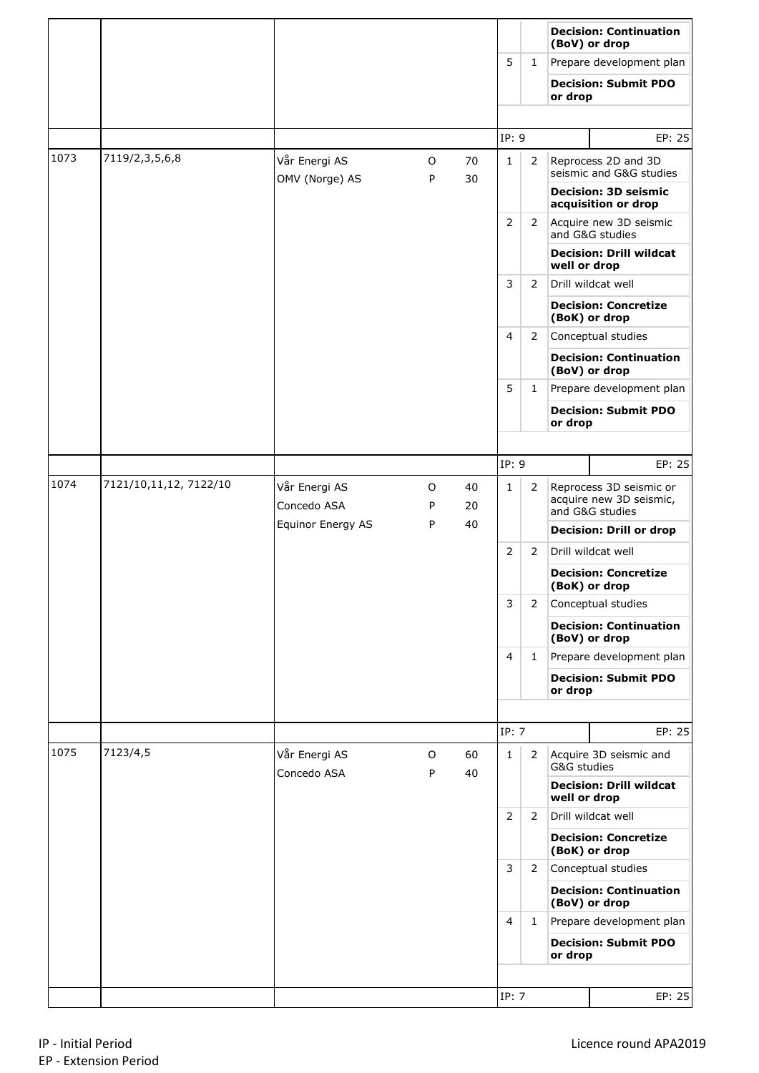|      |                        |                                 |        |          |                |                |              | <b>Decision: Continuation</b><br>(BoV) or drop                        |
|------|------------------------|---------------------------------|--------|----------|----------------|----------------|--------------|-----------------------------------------------------------------------|
|      |                        |                                 |        |          | 5              | $\mathbf{1}$   |              | Prepare development plan                                              |
|      |                        |                                 |        |          |                |                | or drop      | <b>Decision: Submit PDO</b>                                           |
|      |                        |                                 |        |          |                |                |              |                                                                       |
|      |                        |                                 |        |          | IP: 9          |                |              | EP: 25                                                                |
| 1073 | 7119/2,3,5,6,8         | Vår Energi AS<br>OMV (Norge) AS | 0<br>P | 70<br>30 | 1              | $\overline{2}$ |              | Reprocess 2D and 3D<br>seismic and G&G studies                        |
|      |                        |                                 |        |          |                |                |              | <b>Decision: 3D seismic</b><br>acquisition or drop                    |
|      |                        |                                 |        |          | 2              | 2              |              | Acquire new 3D seismic<br>and G&G studies                             |
|      |                        |                                 |        |          |                |                | well or drop | <b>Decision: Drill wildcat</b>                                        |
|      |                        |                                 |        |          | 3              | 2              |              | Drill wildcat well                                                    |
|      |                        |                                 |        |          |                |                |              | <b>Decision: Concretize</b><br>(BoK) or drop                          |
|      |                        |                                 |        |          | 4              | 2              |              | Conceptual studies                                                    |
|      |                        |                                 |        |          |                |                |              | <b>Decision: Continuation</b><br>(BoV) or drop                        |
|      |                        |                                 |        |          | 5              | $\mathbf{1}$   |              | Prepare development plan                                              |
|      |                        |                                 |        |          |                |                | or drop      | <b>Decision: Submit PDO</b>                                           |
|      |                        |                                 |        |          |                |                |              |                                                                       |
|      |                        |                                 |        |          | IP: 9          |                |              | EP: 25                                                                |
| 1074 | 7121/10,11,12, 7122/10 | Vår Energi AS<br>Concedo ASA    | O<br>P | 40<br>20 | $\mathbf{1}$   | 2              |              | Reprocess 3D seismic or<br>acquire new 3D seismic,<br>and G&G studies |
|      |                        | Equinor Energy AS               | P      | 40       |                |                |              | <b>Decision: Drill or drop</b>                                        |
|      |                        |                                 |        |          | 2              | $\overline{2}$ |              | Drill wildcat well                                                    |
|      |                        |                                 |        |          |                |                |              | <b>Decision: Concretize</b><br>(BoK) or drop                          |
|      |                        |                                 |        |          | 3              | 2              |              | Conceptual studies                                                    |
|      |                        |                                 |        |          |                |                |              | <b>Decision: Continuation</b><br>(BoV) or drop                        |
|      |                        |                                 |        |          | $\overline{4}$ | $\mathbf{1}$   |              | Prepare development plan                                              |
|      |                        |                                 |        |          |                |                | or drop      | <b>Decision: Submit PDO</b>                                           |
|      |                        |                                 |        |          |                |                |              |                                                                       |
|      |                        |                                 |        |          | IP: 7          |                |              | EP: 25                                                                |
| 1075 | 7123/4,5               | Vår Energi AS<br>Concedo ASA    | O<br>P | 60<br>40 | $\mathbf{1}$   | 2              | G&G studies  | Acquire 3D seismic and                                                |
|      |                        |                                 |        |          |                |                | well or drop | <b>Decision: Drill wildcat</b>                                        |
|      |                        |                                 |        |          | $\overline{2}$ | 2              |              | Drill wildcat well                                                    |
|      |                        |                                 |        |          |                |                |              | <b>Decision: Concretize</b><br>(BoK) or drop                          |
|      |                        |                                 |        |          | 3              | 2              |              | Conceptual studies                                                    |
|      |                        |                                 |        |          |                |                |              | <b>Decision: Continuation</b><br>(BoV) or drop                        |
|      |                        |                                 |        |          | $\overline{4}$ | $\mathbf{1}$   |              | Prepare development plan                                              |
|      |                        |                                 |        |          |                |                | or drop      | <b>Decision: Submit PDO</b>                                           |
|      |                        |                                 |        |          |                |                |              |                                                                       |
|      |                        |                                 |        |          | IP: 7          |                |              | EP: 25                                                                |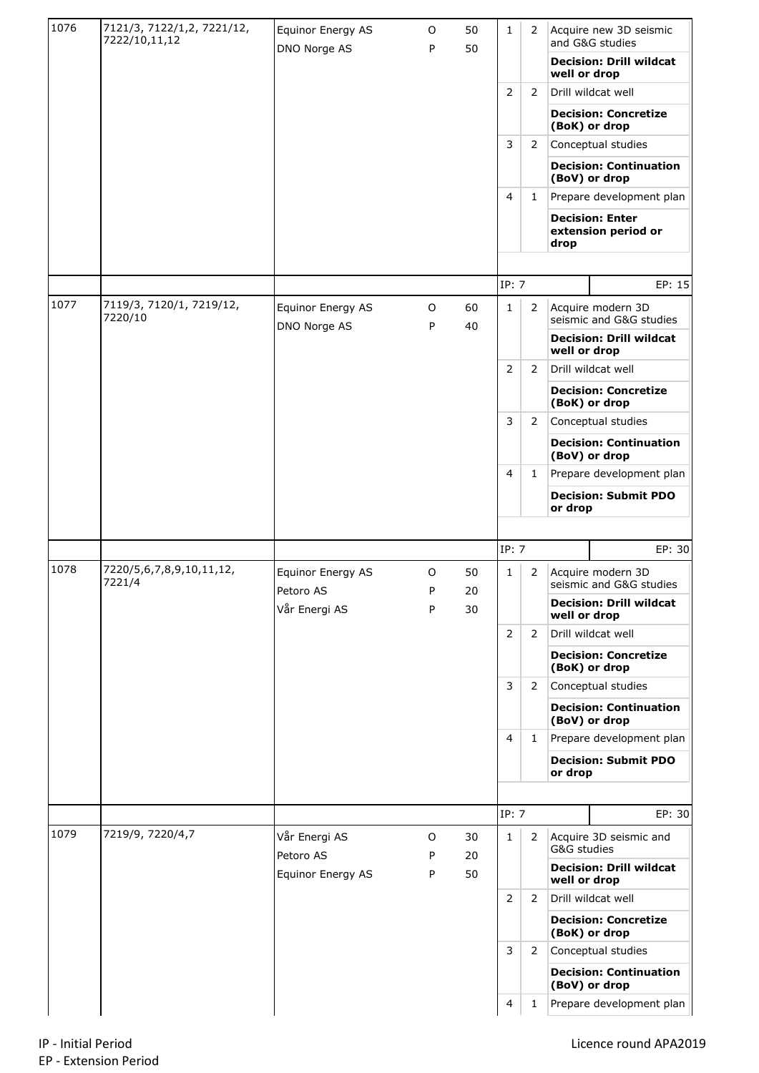| 1076 | 7121/3, 7122/1,2, 7221/12,<br>7222/10,11,12 | Equinor Energy AS<br>DNO Norge AS | 0<br>P | 50<br>50       | $\mathbf{1}$   | 2              |                                                | Acquire new 3D seismic<br>and G&G studies      |  |
|------|---------------------------------------------|-----------------------------------|--------|----------------|----------------|----------------|------------------------------------------------|------------------------------------------------|--|
|      |                                             |                                   |        |                |                |                | well or drop                                   | <b>Decision: Drill wildcat</b>                 |  |
|      |                                             |                                   |        |                | $\overline{2}$ | 2              |                                                | Drill wildcat well                             |  |
|      |                                             |                                   |        |                |                |                |                                                | <b>Decision: Concretize</b><br>(BoK) or drop   |  |
|      |                                             |                                   |        |                | 3              | 2              |                                                | Conceptual studies                             |  |
|      |                                             |                                   |        |                |                |                |                                                | <b>Decision: Continuation</b><br>(BoV) or drop |  |
|      |                                             |                                   |        |                | 4              | $\mathbf{1}$   |                                                | Prepare development plan                       |  |
|      |                                             |                                   |        |                |                |                | drop                                           | <b>Decision: Enter</b><br>extension period or  |  |
|      |                                             |                                   |        |                |                |                |                                                |                                                |  |
|      |                                             |                                   |        |                | IP: 7          |                |                                                | EP: 15                                         |  |
| 1077 | 7119/3, 7120/1, 7219/12,<br>7220/10         | Equinor Energy AS<br>DNO Norge AS | 0<br>P | 60<br>40       | 1              | 2              |                                                | Acquire modern 3D<br>seismic and G&G studies   |  |
|      |                                             |                                   |        |                |                |                | <b>Decision: Drill wildcat</b><br>well or drop |                                                |  |
|      |                                             |                                   |        |                | 2              | 2              |                                                | Drill wildcat well                             |  |
|      |                                             |                                   |        |                |                |                |                                                | <b>Decision: Concretize</b><br>(BoK) or drop   |  |
|      |                                             |                                   |        |                | 3              | 2              | Conceptual studies                             |                                                |  |
|      |                                             |                                   |        |                |                |                |                                                | <b>Decision: Continuation</b><br>(BoV) or drop |  |
|      |                                             |                                   |        |                | 4              | $\mathbf{1}$   |                                                | Prepare development plan                       |  |
|      |                                             |                                   |        |                |                |                | or drop                                        | <b>Decision: Submit PDO</b>                    |  |
|      |                                             |                                   |        |                |                |                |                                                |                                                |  |
|      |                                             |                                   |        |                | IP: 7          |                |                                                | EP: 30                                         |  |
| 1078 | 7220/5,6,7,8,9,10,11,12,<br>7221/4          | Equinor Energy AS<br>Petoro AS    | O<br>P | 50<br>20       | 1              | 2              |                                                | Acquire modern 3D<br>seismic and G&G studies   |  |
|      |                                             | Vår Energi AS                     | P      | 30             |                |                | well or drop                                   | <b>Decision: Drill wildcat</b>                 |  |
|      |                                             |                                   |        |                | $\overline{2}$ | 2              |                                                | Drill wildcat well                             |  |
|      |                                             |                                   |        |                |                |                | <b>Decision: Concretize</b><br>(BoK) or drop   |                                                |  |
|      |                                             |                                   |        |                | 3              | 2              | Conceptual studies                             |                                                |  |
|      |                                             |                                   |        |                |                |                |                                                | <b>Decision: Continuation</b><br>(BoV) or drop |  |
|      |                                             |                                   |        |                | 4              | 1              |                                                | Prepare development plan                       |  |
|      |                                             |                                   |        |                |                |                | <b>Decision: Submit PDO</b><br>or drop         |                                                |  |
|      |                                             |                                   |        |                |                |                |                                                |                                                |  |
|      |                                             |                                   |        |                | IP: 7          |                |                                                | EP: 30                                         |  |
| 1079 | 7219/9, 7220/4,7                            | Vår Energi AS<br>Petoro AS        | O<br>P | 30<br>20<br>50 | 1              | 2              | G&G studies                                    | Acquire 3D seismic and                         |  |
|      |                                             | Equinor Energy AS                 | P      |                |                |                | well or drop                                   | <b>Decision: Drill wildcat</b>                 |  |
|      |                                             |                                   |        |                | 2              | $\overline{2}$ | Drill wildcat well                             |                                                |  |
|      |                                             |                                   |        |                |                |                | <b>Decision: Concretize</b><br>(BoK) or drop   |                                                |  |
|      |                                             |                                   |        |                | 3              | $\overline{2}$ | Conceptual studies                             |                                                |  |
|      |                                             |                                   |        |                |                |                | (BoV) or drop                                  | <b>Decision: Continuation</b>                  |  |
|      |                                             |                                   |        |                | $\overline{4}$ |                |                                                | Prepare development plan                       |  |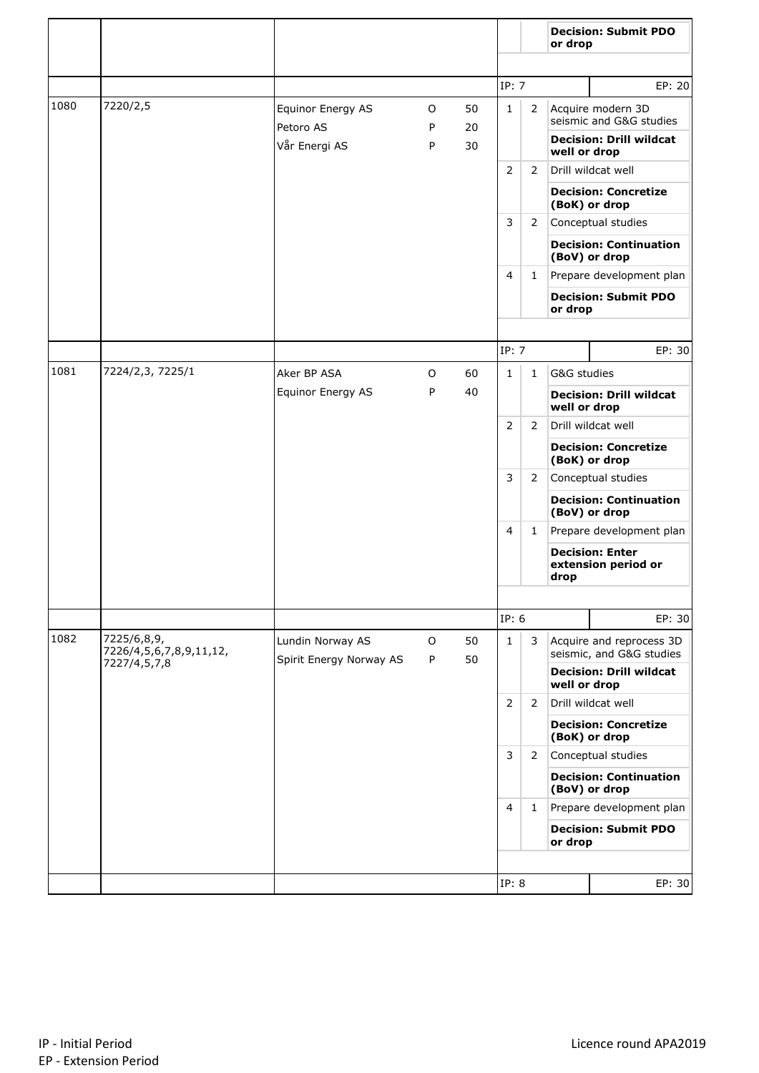|      |                                        |                                             |        |          |              |                | or drop                                              | <b>Decision: Submit PDO</b>                    |
|------|----------------------------------------|---------------------------------------------|--------|----------|--------------|----------------|------------------------------------------------------|------------------------------------------------|
|      |                                        |                                             |        |          | IP: 7        |                |                                                      | EP: 20                                         |
| 1080 | 7220/2,5                               | Equinor Energy AS                           | 0      | 50       | $\mathbf{1}$ | 2              |                                                      | Acquire modern 3D<br>seismic and G&G studies   |
|      |                                        | Petoro AS<br>Vår Energi AS                  | P<br>P | 20<br>30 |              |                | well or drop                                         | <b>Decision: Drill wildcat</b>                 |
|      |                                        |                                             |        |          | 2            | 2              |                                                      | Drill wildcat well                             |
|      |                                        |                                             |        |          |              |                |                                                      | <b>Decision: Concretize</b><br>(BoK) or drop   |
|      |                                        |                                             |        |          | 3            | $\overline{2}$ |                                                      | Conceptual studies                             |
|      |                                        |                                             |        |          |              |                |                                                      | <b>Decision: Continuation</b><br>(BoV) or drop |
|      |                                        |                                             |        |          | 4            | $\mathbf{1}$   |                                                      | Prepare development plan                       |
|      |                                        |                                             |        |          |              |                | or drop                                              | <b>Decision: Submit PDO</b>                    |
|      |                                        |                                             |        |          |              |                |                                                      |                                                |
|      |                                        |                                             |        |          | IP: 7        |                |                                                      | EP: 30                                         |
| 1081 | 7224/2,3, 7225/1                       | Aker BP ASA                                 | O      | 60       | $\mathbf{1}$ | $\mathbf{1}$   | G&G studies                                          |                                                |
|      |                                        | Equinor Energy AS                           | P      | 40       |              |                | well or drop                                         | <b>Decision: Drill wildcat</b>                 |
|      |                                        |                                             |        |          | 2<br>3<br>4  | 2              |                                                      | Drill wildcat well                             |
|      |                                        |                                             |        |          |              |                |                                                      | <b>Decision: Concretize</b><br>(BoK) or drop   |
|      |                                        |                                             |        |          |              | 2              |                                                      | Conceptual studies                             |
|      |                                        |                                             |        |          |              |                |                                                      | <b>Decision: Continuation</b><br>(BoV) or drop |
|      |                                        |                                             |        |          |              | 1              | Prepare development plan                             |                                                |
|      |                                        |                                             |        |          |              |                | drop                                                 | <b>Decision: Enter</b><br>extension period or  |
|      |                                        |                                             |        |          |              |                |                                                      |                                                |
|      |                                        |                                             |        |          | IP: 6        |                |                                                      | EP: 30                                         |
| 1082 | 7225/6,8,9,<br>7226/4,5,6,7,8,9,11,12, | Lundin Norway AS<br>Spirit Energy Norway AS | O<br>P | 50<br>50 | $\mathbf{1}$ | 3              | Acquire and reprocess 3D<br>seismic, and G&G studies |                                                |
|      | 7227/4,5,7,8                           |                                             |        |          |              |                | <b>Decision: Drill wildcat</b><br>well or drop       |                                                |
|      |                                        |                                             |        |          | 2            | 2              |                                                      | Drill wildcat well                             |
|      |                                        |                                             |        |          |              |                | <b>Decision: Concretize</b><br>(BoK) or drop         |                                                |
|      |                                        |                                             |        |          | 3            | 2              |                                                      | Conceptual studies                             |
|      |                                        |                                             |        |          |              |                |                                                      | <b>Decision: Continuation</b><br>(BoV) or drop |
|      |                                        |                                             |        |          | 4            | $\mathbf{1}$   |                                                      | Prepare development plan                       |
|      |                                        |                                             |        |          |              |                | or drop                                              | <b>Decision: Submit PDO</b>                    |
|      |                                        |                                             |        |          |              |                |                                                      |                                                |
|      |                                        |                                             |        |          | IP: 8        |                |                                                      | EP: 30                                         |